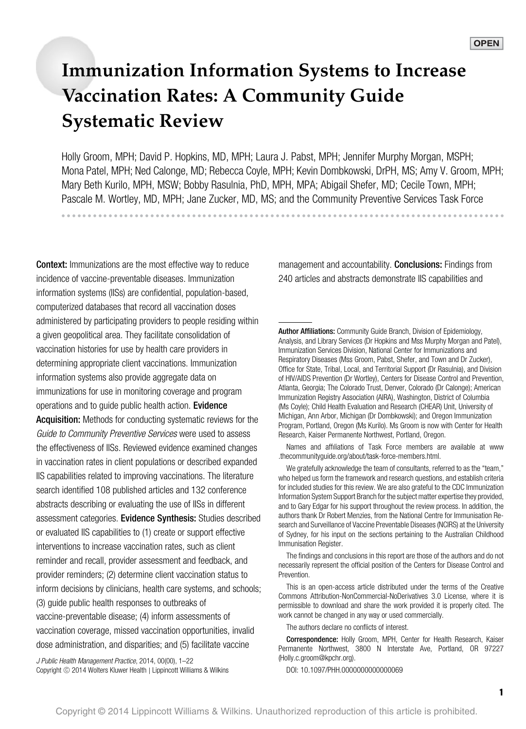# **Immunization Information Systems to Increase Vaccination Rates: A Community Guide Systematic Review**

Holly Groom, MPH; David P. Hopkins, MD, MPH; Laura J. Pabst, MPH; Jennifer Murphy Morgan, MSPH; Mona Patel, MPH; Ned Calonge, MD; Rebecca Coyle, MPH; Kevin Dombkowski, DrPH, MS; Amy V. Groom, MPH; Mary Beth Kurilo, MPH, MSW; Bobby Rasulnia, PhD, MPH, MPA; Abigail Shefer, MD; Cecile Town, MPH; Pascale M. Wortley, MD, MPH; Jane Zucker, MD, MS; and the Community Preventive Services Task Force

**Context:** Immunizations are the most effective way to reduce incidence of vaccine-preventable diseases. Immunization information systems (IISs) are confidential, population-based, computerized databases that record all vaccination doses administered by participating providers to people residing within a given geopolitical area. They facilitate consolidation of vaccination histories for use by health care providers in determining appropriate client vaccinations. Immunization information systems also provide aggregate data on immunizations for use in monitoring coverage and program operations and to guide public health action. Evidence Acquisition: Methods for conducting systematic reviews for the Guide to Community Preventive Services were used to assess the effectiveness of IISs. Reviewed evidence examined changes in vaccination rates in client populations or described expanded IIS capabilities related to improving vaccinations. The literature search identified 108 published articles and 132 conference abstracts describing or evaluating the use of IISs in different assessment categories. Evidence Synthesis: Studies described or evaluated IIS capabilities to (1) create or support effective interventions to increase vaccination rates, such as client reminder and recall, provider assessment and feedback, and provider reminders; (2) determine client vaccination status to inform decisions by clinicians, health care systems, and schools; (3) guide public health responses to outbreaks of vaccine-preventable disease; (4) inform assessments of vaccination coverage, missed vaccination opportunities, invalid dose administration, and disparities; and (5) facilitate vaccine

-------------------------------------------------------------------------------------

J Public Health Management Practice, 2014, 00(00), 1–22 Copyright © 2014 Wolters Kluwer Health | Lippincott Williams & Wilkins management and accountability. **Conclusions:** Findings from 240 articles and abstracts demonstrate IIS capabilities and

Author Affiliations: Community Guide Branch, Division of Epidemiology, Analysis, and Library Services (Dr Hopkins and Mss Murphy Morgan and Patel), Immunization Services Division, National Center for Immunizations and Respiratory Diseases (Mss Groom, Pabst, Shefer, and Town and Dr Zucker), Office for State, Tribal, Local, and Territorial Support (Dr Rasulnia), and Division of HIV/AIDS Prevention (Dr Wortley), Centers for Disease Control and Prevention, Atlanta, Georgia; The Colorado Trust, Denver, Colorado (Dr Calonge); American Immunization Registry Association (AIRA), Washington, District of Columbia (Ms Coyle); Child Health Evaluation and Research (CHEAR) Unit, University of Michigan, Ann Arbor, Michigan (Dr Dombkowski); and Oregon Immunization Program, Portland, Oregon (Ms Kurilo). Ms Groom is now with Center for Health Research, Kaiser Permanente Northwest, Portland, Oregon.

Names and affıliations of Task Force members are available at [www](http://www.thecommunityguide.org/about/task-force-members.html) [.thecommunityguide.org/about/task-force-members.html.](http://www.thecommunityguide.org/about/task-force-members.html)

We gratefully acknowledge the team of consultants, referred to as the "team," who helped us form the framework and research questions, and establish criteria for included studies for this review. We are also grateful to the CDC Immunization Information System Support Branch for the subject matter expertise they provided, and to Gary Edgar for his support throughout the review process. In addition, the authors thank Dr Robert Menzies, from the National Centre for Immunisation Research and Surveillance of Vaccine Preventable Diseases (NCIRS) at the University of Sydney, for his input on the sections pertaining to the Australian Childhood Immunisation Register.

The findings and conclusions in this report are those of the authors and do not necessarily represent the official position of the Centers for Disease Control and **Prevention** 

This is an open-access article distributed under the terms of the Creative Commons Attribution-NonCommercial-NoDerivatives 3.0 License, where it is permissible to download and share the work provided it is properly cited. The work cannot be changed in any way or used commercially.

The authors declare no conflicts of interest.

Correspondence: Holly Groom, MPH, Center for Health Research, Kaiser Permanente Northwest, 3800 N Interstate Ave, Portland, OR 97227 [\(Holly.c.groom@kpchr.org\)](mailto:Holly.c.groom@kpchr.org).

DOI: 10.1097/PHH.0000000000000069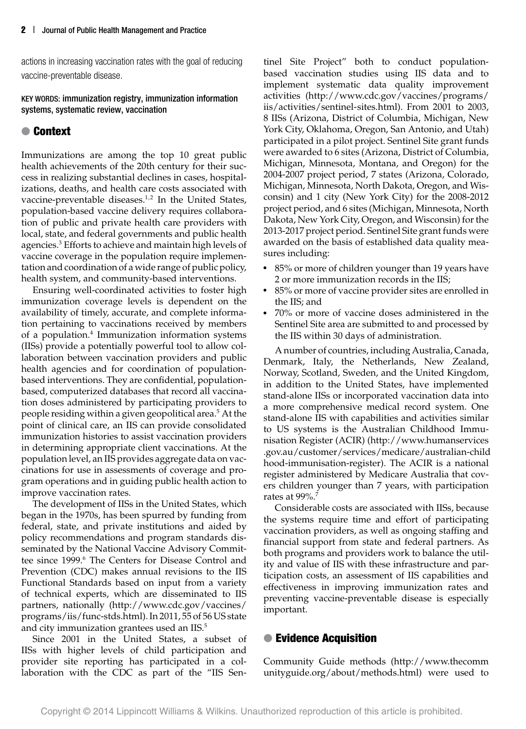actions in increasing vaccination rates with the goal of reducing vaccine-preventable disease.

KEY WORDS: immunization registry, immunization information systems, systematic review, vaccination

# ● **Context**

Immunizations are among the top 10 great public health achievements of the 20th century for their success in realizing substantial declines in cases, hospitalizations, deaths, and health care costs associated with vaccine-preventable diseases. $1/2$  In the United States, population-based vaccine delivery requires collaboration of public and private health care providers with local, state, and federal governments and public health agencies.3 Efforts to achieve and maintain high levels of vaccine coverage in the population require implementation and coordination of a wide range of public policy, health system, and community-based interventions.

Ensuring well-coordinated activities to foster high immunization coverage levels is dependent on the availability of timely, accurate, and complete information pertaining to vaccinations received by members of a population.<sup>4</sup> Immunization information systems (IISs) provide a potentially powerful tool to allow collaboration between vaccination providers and public health agencies and for coordination of populationbased interventions. They are confidential, populationbased, computerized databases that record all vaccination doses administered by participating providers to people residing within a given geopolitical area.<sup>5</sup> At the point of clinical care, an IIS can provide consolidated immunization histories to assist vaccination providers in determining appropriate client vaccinations. At the population level, an IIS provides aggregate data on vaccinations for use in assessments of coverage and program operations and in guiding public health action to improve vaccination rates.

The development of IISs in the United States, which began in the 1970s, has been spurred by funding from federal, state, and private institutions and aided by policy recommendations and program standards disseminated by the National Vaccine Advisory Committee since 1999.<sup>6</sup> The Centers for Disease Control and Prevention (CDC) makes annual revisions to the IIS Functional Standards based on input from a variety of technical experts, which are disseminated to IIS partners, nationally [\(http://www.cdc.gov/vaccines/](http://www.cdc.gov/vaccines/programs/iis/func-stds.html) [programs/iis/func-stds.html\)](http://www.cdc.gov/vaccines/programs/iis/func-stds.html). In 2011, 55 of 56 US state and city immunization grantees used an IIS.<sup>5</sup>

Since 2001 in the United States, a subset of IISs with higher levels of child participation and provider site reporting has participated in a collaboration with the CDC as part of the "IIS Sentinel Site Project" both to conduct populationbased vaccination studies using IIS data and to implement systematic data quality improvement activities [\(http://www.cdc.gov/vaccines/programs/](http://www.cdc.gov/vaccines/programs/iis/activities/sentinel-sites.html) [iis/activities/sentinel-sites.html\)](http://www.cdc.gov/vaccines/programs/iis/activities/sentinel-sites.html). From 2001 to 2003, 8 IISs (Arizona, District of Columbia, Michigan, New York City, Oklahoma, Oregon, San Antonio, and Utah) participated in a pilot project. Sentinel Site grant funds were awarded to 6 sites (Arizona, District of Columbia, Michigan, Minnesota, Montana, and Oregon) for the 2004-2007 project period, 7 states (Arizona, Colorado, Michigan, Minnesota, North Dakota, Oregon, and Wisconsin) and 1 city (New York City) for the 2008-2012 project period, and 6 sites (Michigan, Minnesota, North Dakota, New York City, Oregon, and Wisconsin) for the 2013-2017 project period. Sentinel Site grant funds were awarded on the basis of established data quality measures including:

- 85% or more of children younger than 19 years have 2 or more immunization records in the IIS;
- - 85% or more of vaccine provider sites are enrolled in the IIS; and
- 70% or more of vaccine doses administered in the Sentinel Site area are submitted to and processed by the IIS within 30 days of administration.

A number of countries, including Australia, Canada, Denmark, Italy, the Netherlands, New Zealand, Norway, Scotland, Sweden, and the United Kingdom, in addition to the United States, have implemented stand-alone IISs or incorporated vaccination data into a more comprehensive medical record system. One stand-alone IIS with capabilities and activities similar to US systems is the Australian Childhood Immunisation Register (ACIR) [\(http://www.humanservices](http://www.humanservices.gov.au/customer/services/medicare/australian-childhood-immunisation-register) [.gov.au/customer/services/medicare/australian-child](http://www.humanservices.gov.au/customer/services/medicare/australian-childhood-immunisation-register) [hood-immunisation-register\)](http://www.humanservices.gov.au/customer/services/medicare/australian-childhood-immunisation-register). The ACIR is a national register administered by Medicare Australia that covers children younger than 7 years, with participation rates at 99%.7

Considerable costs are associated with IISs, because the systems require time and effort of participating vaccination providers, as well as ongoing staffing and financial support from state and federal partners. As both programs and providers work to balance the utility and value of IIS with these infrastructure and participation costs, an assessment of IIS capabilities and effectiveness in improving immunization rates and preventing vaccine-preventable disease is especially important.

# ● **Evidence Acquisition**

Community Guide methods [\(http://www.thecomm](http://www.thecommunityguide.org/about/methods.html) [unityguide.org/about/methods.html\)](http://www.thecommunityguide.org/about/methods.html) were used to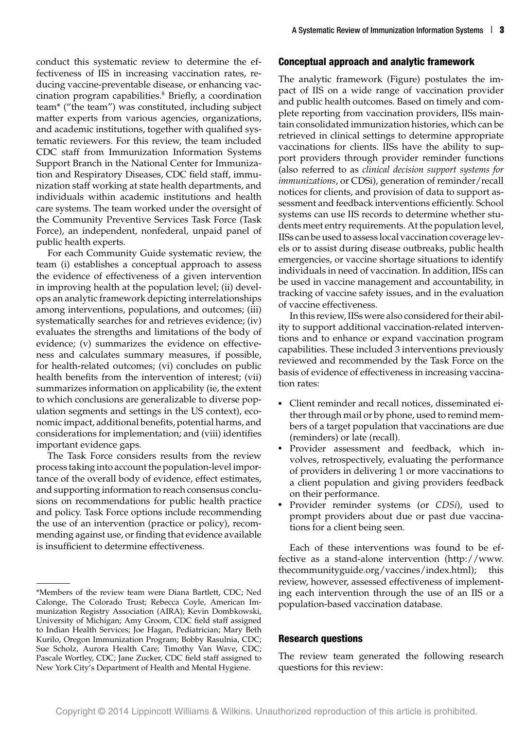conduct this systematic review to determine the effectiveness of IIS in increasing vaccination rates, reducing vaccine-preventable disease, or enhancing vaccination program capabilities. $8$  Briefly, a coordination team\* ("the team") was constituted, including subject matter experts from various agencies, organizations, and academic institutions, together with qualifıed systematic reviewers. For this review, the team included CDC staff from Immunization Information Systems Support Branch in the National Center for Immunization and Respiratory Diseases, CDC field staff, immunization staff working at state health departments, and individuals within academic institutions and health care systems. The team worked under the oversight of the Community Preventive Services Task Force (Task Force), an independent, nonfederal, unpaid panel of public health experts.

For each Community Guide systematic review, the team (i) establishes a conceptual approach to assess the evidence of effectiveness of a given intervention in improving health at the population level; (ii) develops an analytic framework depicting interrelationships among interventions, populations, and outcomes; (iii) systematically searches for and retrieves evidence; (iv) evaluates the strengths and limitations of the body of evidence; (v) summarizes the evidence on effectiveness and calculates summary measures, if possible, for health-related outcomes; (vi) concludes on public health benefits from the intervention of interest; (vii) summarizes information on applicability (ie, the extent to which conclusions are generalizable to diverse population segments and settings in the US context), economic impact, additional benefits, potential harms, and considerations for implementation; and (viii) identifies important evidence gaps.

The Task Force considers results from the review process taking into account the population-level importance of the overall body of evidence, effect estimates, and supporting information to reach consensus conclusions on recommendations for public health practice and policy. Task Force options include recommending the use of an intervention (practice or policy), recommending against use, or finding that evidence available is insufficient to determine effectiveness.

## **Conceptual approach and analytic framework**

The analytic framework (Figure) postulates the impact of IIS on a wide range of vaccination provider and public health outcomes. Based on timely and complete reporting from vaccination providers, IISs maintain consolidated immunization histories, which can be retrieved in clinical settings to determine appropriate vaccinations for clients. IISs have the ability to support providers through provider reminder functions (also referred to as *clinical decision support systems for immunizations*, or CDSi), generation of reminder/recall notices for clients, and provision of data to support assessment and feedback interventions efficiently. School systems can use IIS records to determine whether students meet entry requirements. At the population level, IISs can be used to assess local vaccination coverage levels or to assist during disease outbreaks, public health emergencies, or vaccine shortage situations to identify individuals in need of vaccination. In addition, IISs can be used in vaccine management and accountability, in tracking of vaccine safety issues, and in the evaluation of vaccine effectiveness.

In this review, IISs were also considered for their ability to support additional vaccination-related interventions and to enhance or expand vaccination program capabilities. These included 3 interventions previously reviewed and recommended by the Task Force on the basis of evidence of effectiveness in increasing vaccination rates:

- Client reminder and recall notices, disseminated either through mail or by phone, used to remind members of a target population that vaccinations are due (reminders) or late (recall).
- - Provider assessment and feedback, which involves, retrospectively, evaluating the performance of providers in delivering 1 or more vaccinations to a client population and giving providers feedback on their performance.
- - Provider reminder systems (or *CDSi*), used to prompt providers about due or past due vaccinations for a client being seen.

Each of these interventions was found to be effective as a stand-alone intervention [\(http://www.](http://www.thecommunityguide.org/vaccines/index.html) [thecommunityguide.org/vaccines/index.html\)](http://www.thecommunityguide.org/vaccines/index.html); this review, however, assessed effectiveness of implementing each intervention through the use of an IIS or a population-based vaccination database.

#### **Research questions**

The review team generated the following research questions for this review:

<sup>\*</sup>Members of the review team were Diana Bartlett, CDC; Ned Calonge, The Colorado Trust; Rebecca Coyle, American Immunization Registry Association (AIRA); Kevin Dombkowski, University of Michigan; Amy Groom, CDC field staff assigned to Indian Health Services; Joe Hagan, Pediatrician; Mary Beth Kurilo, Oregon Immunization Program; Bobby Rasulnia, CDC; Sue Scholz, Aurora Health Care; Timothy Van Wave, CDC; Pascale Wortley, CDC; Jane Zucker, CDC field staff assigned to New York City's Department of Health and Mental Hygiene.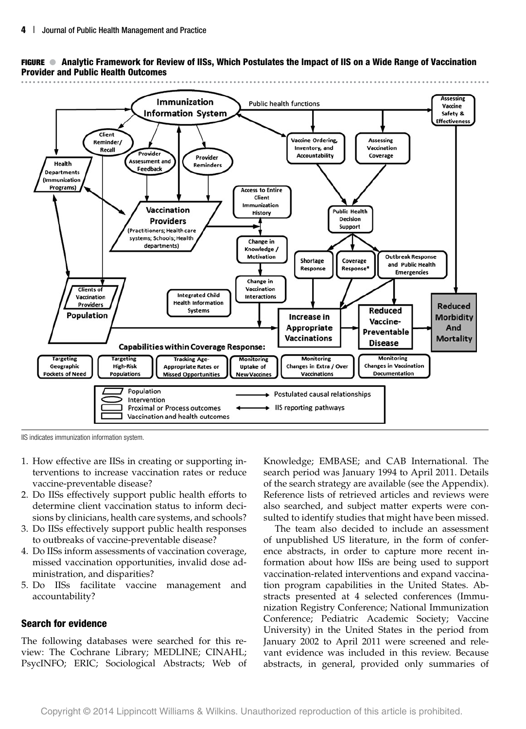

#### **FIGURE** ● **Analytic Framework for Review of IISs, Which Postulates the Impact of IIS on a Wide Range of Vaccination Provider and Public Health Outcomes**

IIS indicates immunization information system.

- 1. How effective are IISs in creating or supporting interventions to increase vaccination rates or reduce vaccine-preventable disease?
- 2. Do IISs effectively support public health efforts to determine client vaccination status to inform decisions by clinicians, health care systems, and schools?
- 3. Do IISs effectively support public health responses to outbreaks of vaccine-preventable disease?
- 4. Do IISs inform assessments of vaccination coverage, missed vaccination opportunities, invalid dose administration, and disparities?
- 5. Do IISs facilitate vaccine management and accountability?

#### **Search for evidence**

The following databases were searched for this review: The Cochrane Library; MEDLINE; CINAHL; PsycINFO; ERIC; Sociological Abstracts; Web of Knowledge; EMBASE; and CAB International. The search period was January 1994 to April 2011. Details of the search strategy are available (see the Appendix). Reference lists of retrieved articles and reviews were also searched, and subject matter experts were consulted to identify studies that might have been missed.

The team also decided to include an assessment of unpublished US literature, in the form of conference abstracts, in order to capture more recent information about how IISs are being used to support vaccination-related interventions and expand vaccination program capabilities in the United States. Abstracts presented at 4 selected conferences (Immunization Registry Conference; National Immunization Conference; Pediatric Academic Society; Vaccine University) in the United States in the period from January 2002 to April 2011 were screened and relevant evidence was included in this review. Because abstracts, in general, provided only summaries of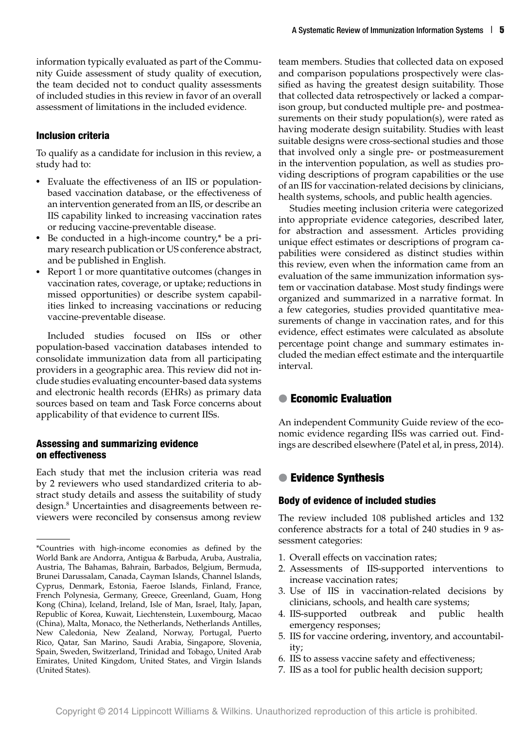information typically evaluated as part of the Community Guide assessment of study quality of execution, the team decided not to conduct quality assessments of included studies in this review in favor of an overall assessment of limitations in the included evidence.

# **Inclusion criteria**

To qualify as a candidate for inclusion in this review, a study had to:

- Evaluate the effectiveness of an IIS or populationbased vaccination database, or the effectiveness of an intervention generated from an IIS, or describe an IIS capability linked to increasing vaccination rates or reducing vaccine-preventable disease.
- Be conducted in a high-income country,\* be a primary research publication or US conference abstract, and be published in English.
- Report 1 or more quantitative outcomes (changes in vaccination rates, coverage, or uptake; reductions in missed opportunities) or describe system capabilities linked to increasing vaccinations or reducing vaccine-preventable disease.

Included studies focused on IISs or other population-based vaccination databases intended to consolidate immunization data from all participating providers in a geographic area. This review did not include studies evaluating encounter-based data systems and electronic health records (EHRs) as primary data sources based on team and Task Force concerns about applicability of that evidence to current IISs.

## **Assessing and summarizing evidence on effectiveness**

Each study that met the inclusion criteria was read by 2 reviewers who used standardized criteria to abstract study details and assess the suitability of study design.8 Uncertainties and disagreements between reviewers were reconciled by consensus among review team members. Studies that collected data on exposed and comparison populations prospectively were classified as having the greatest design suitability. Those that collected data retrospectively or lacked a comparison group, but conducted multiple pre- and postmeasurements on their study population(s), were rated as having moderate design suitability. Studies with least suitable designs were cross-sectional studies and those that involved only a single pre- or postmeasurement in the intervention population, as well as studies providing descriptions of program capabilities or the use of an IIS for vaccination-related decisions by clinicians, health systems, schools, and public health agencies.

Studies meeting inclusion criteria were categorized into appropriate evidence categories, described later, for abstraction and assessment. Articles providing unique effect estimates or descriptions of program capabilities were considered as distinct studies within this review, even when the information came from an evaluation of the same immunization information system or vaccination database. Most study findings were organized and summarized in a narrative format. In a few categories, studies provided quantitative measurements of change in vaccination rates, and for this evidence, effect estimates were calculated as absolute percentage point change and summary estimates included the median effect estimate and the interquartile interval.

# ● **Economic Evaluation**

An independent Community Guide review of the economic evidence regarding IISs was carried out. Findings are described elsewhere (Patel et al, in press, 2014).

# ● **Evidence Synthesis**

# **Body of evidence of included studies**

The review included 108 published articles and 132 conference abstracts for a total of 240 studies in 9 assessment categories:

- 1. Overall effects on vaccination rates;
- 2. Assessments of IIS-supported interventions to increase vaccination rates;
- 3. Use of IIS in vaccination-related decisions by clinicians, schools, and health care systems;
- 4. IIS-supported outbreak and public health emergency responses;
- 5. IIS for vaccine ordering, inventory, and accountability;
- 6. IIS to assess vaccine safety and effectiveness;
- 7. IIS as a tool for public health decision support;

<sup>\*</sup>Countries with high-income economies as defined by the World Bank are Andorra, Antigua & Barbuda, Aruba, Australia, Austria, The Bahamas, Bahrain, Barbados, Belgium, Bermuda, Brunei Darussalam, Canada, Cayman Islands, Channel Islands, Cyprus, Denmark, Estonia, Faeroe Islands, Finland, France, French Polynesia, Germany, Greece, Greenland, Guam, Hong Kong (China), Iceland, Ireland, Isle of Man, Israel, Italy, Japan, Republic of Korea, Kuwait, Liechtenstein, Luxembourg, Macao (China), Malta, Monaco, the Netherlands, Netherlands Antilles, New Caledonia, New Zealand, Norway, Portugal, Puerto Rico, Qatar, San Marino, Saudi Arabia, Singapore, Slovenia, Spain, Sweden, Switzerland, Trinidad and Tobago, United Arab Emirates, United Kingdom, United States, and Virgin Islands (United States).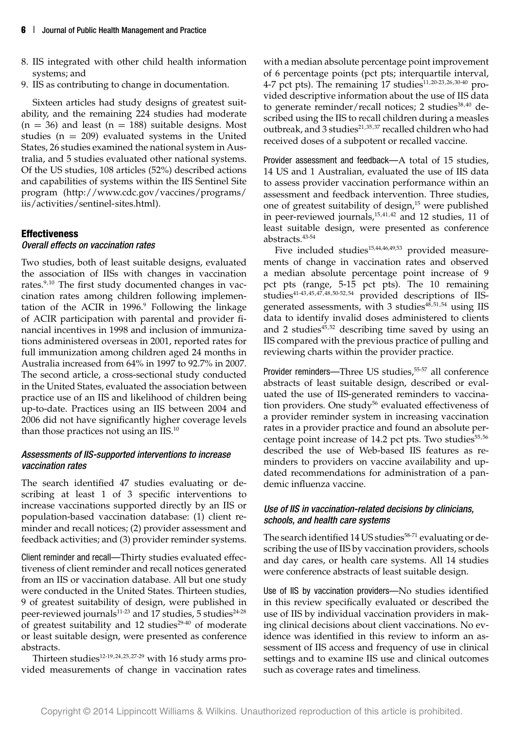- 8. IIS integrated with other child health information systems; and
- 9. IIS as contributing to change in documentation.

Sixteen articles had study designs of greatest suitability, and the remaining 224 studies had moderate  $(n = 36)$  and least  $(n = 188)$  suitable designs. Most studies ( $n = 209$ ) evaluated systems in the United States, 26 studies examined the national system in Australia, and 5 studies evaluated other national systems. Of the US studies, 108 articles (52%) described actions and capabilities of systems within the IIS Sentinel Site program [\(http://www.cdc.gov/vaccines/programs/](http://www.cdc.gov/vaccines/programs/iis/activities/sentinel-sites.html) [iis/activities/sentinel-sites.html\)](http://www.cdc.gov/vaccines/programs/iis/activities/sentinel-sites.html).

# **Effectiveness**

# Overall effects on vaccination rates

Two studies, both of least suitable designs, evaluated the association of IISs with changes in vaccination rates.<sup>9,10</sup> The first study documented changes in vaccination rates among children following implementation of the ACIR in  $1996.9$  Following the linkage of ACIR participation with parental and provider financial incentives in 1998 and inclusion of immunizations administered overseas in 2001, reported rates for full immunization among children aged 24 months in Australia increased from 64% in 1997 to 92.7% in 2007. The second article, a cross-sectional study conducted in the United States, evaluated the association between practice use of an IIS and likelihood of children being up-to-date. Practices using an IIS between 2004 and 2006 did not have significantly higher coverage levels than those practices not using an IIS.<sup>10</sup>

# Assessments of IIS-supported interventions to increase vaccination rates

The search identified 47 studies evaluating or describing at least 1 of 3 specific interventions to increase vaccinations supported directly by an IIS or population-based vaccination database: (1) client reminder and recall notices; (2) provider assessment and feedback activities; and (3) provider reminder systems.

Client reminder and recall—Thirty studies evaluated effectiveness of client reminder and recall notices generated from an IIS or vaccination database. All but one study were conducted in the United States. Thirteen studies, 9 of greatest suitability of design, were published in peer-reviewed journals<sup>11-23</sup> and 17 studies, 5 studies<sup>24-28</sup> of greatest suitability and 12 studies $29-40$  of moderate or least suitable design, were presented as conference abstracts.

Thirteen studies $12-19,24,25,27-29$  with 16 study arms provided measurements of change in vaccination rates with a median absolute percentage point improvement of 6 percentage points (pct pts; interquartile interval, 4-7 pct pts). The remaining 17 studies<sup>11,20-23,26,30-40</sup> provided descriptive information about the use of IIS data to generate reminder/recall notices; 2 studies $38,40$  described using the IIS to recall children during a measles outbreak, and 3 studies<sup>21,35,37</sup> recalled children who had received doses of a subpotent or recalled vaccine.

Provider assessment and feedback—A total of 15 studies, 14 US and 1 Australian, evaluated the use of IIS data to assess provider vaccination performance within an assessment and feedback intervention. Three studies, one of greatest suitability of design,<sup>15</sup> were published in peer-reviewed journals, $15,41,42$  and 12 studies, 11 of least suitable design, were presented as conference abstracts.43-54

Five included studies<sup>15,44,46,49,53</sup> provided measurements of change in vaccination rates and observed a median absolute percentage point increase of 9 pct pts (range, 5-15 pct pts). The 10 remaining studies<sup>41-43,45,47,48,50-52,54</sup> provided descriptions of IISgenerated assessments, with 3 studies $48,51,54$  using IIS data to identify invalid doses administered to clients and 2 studies<sup>45,52</sup> describing time saved by using an IIS compared with the previous practice of pulling and reviewing charts within the provider practice.

Provider reminders—Three US studies,<sup>55-57</sup> all conference abstracts of least suitable design, described or evaluated the use of IIS-generated reminders to vaccination providers. One study<sup>56</sup> evaluated effectiveness of a provider reminder system in increasing vaccination rates in a provider practice and found an absolute percentage point increase of 14.2 pct pts. Two studies $55,56$ described the use of Web-based IIS features as reminders to providers on vaccine availability and updated recommendations for administration of a pandemic influenza vaccine.

# Use of IIS in vaccination-related decisions by clinicians, schools, and health care systems

The search identified 14 US studies $58-71$  evaluating or describing the use of IIS by vaccination providers, schools and day cares, or health care systems. All 14 studies were conference abstracts of least suitable design.

Use of IIS by vaccination providers—No studies identified in this review specifically evaluated or described the use of IIS by individual vaccination providers in making clinical decisions about client vaccinations. No evidence was identified in this review to inform an assessment of IIS access and frequency of use in clinical settings and to examine IIS use and clinical outcomes such as coverage rates and timeliness.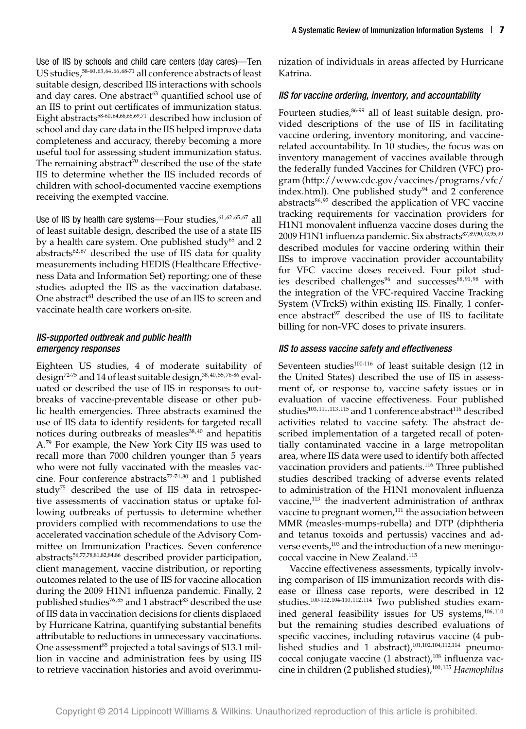Use of IIS by schools and child care centers (day cares)—Ten US studies,  $58-60, 63, 64, 66, 68-71$  all conference abstracts of least suitable design, described IIS interactions with schools and day cares. One abstract<sup>63</sup> quantified school use of an IIS to print out certificates of immunization status. Eight abstracts<sup>58-60,64,66,68,69,71</sup> described how inclusion of school and day care data in the IIS helped improve data completeness and accuracy, thereby becoming a more useful tool for assessing student immunization status. The remaining abstract<sup>70</sup> described the use of the state IIS to determine whether the IIS included records of children with school-documented vaccine exemptions receiving the exempted vaccine.

Use of IIS by health care systems—Four studies, 61,62,65,67 all of least suitable design, described the use of a state IIS by a health care system. One published study $65$  and 2 abstracts $62,67$  described the use of IIS data for quality measurements including HEDIS (Healthcare Effectiveness Data and Information Set) reporting; one of these studies adopted the IIS as the vaccination database. One abstract<sup>61</sup> described the use of an IIS to screen and vaccinate health care workers on-site.

### IIS-supported outbreak and public health emergency responses

Eighteen US studies, 4 of moderate suitability of design<sup>72-75</sup> and 14 of least suitable design,  $38,40,55,76-86$  evaluated or described the use of IIS in responses to outbreaks of vaccine-preventable disease or other public health emergencies. Three abstracts examined the use of IIS data to identify residents for targeted recall notices during outbreaks of measles $38,40$  and hepatitis A.79 For example, the New York City IIS was used to recall more than 7000 children younger than 5 years who were not fully vaccinated with the measles vaccine. Four conference abstracts<sup>72-74,80</sup> and 1 published study<sup>75</sup> described the use of IIS data in retrospective assessments of vaccination status or uptake following outbreaks of pertussis to determine whether providers complied with recommendations to use the accelerated vaccination schedule of the Advisory Committee on Immunization Practices. Seven conference abstracts<sup>56,77,78,81,82,84,86</sup> described provider participation, client management, vaccine distribution, or reporting outcomes related to the use of IIS for vaccine allocation during the 2009 H1N1 influenza pandemic. Finally, 2 published studies<sup>76,85</sup> and 1 abstract<sup>83</sup> described the use of IIS data in vaccination decisions for clients displaced by Hurricane Katrina, quantifying substantial benefits attributable to reductions in unnecessary vaccinations. One assessment<sup>85</sup> projected a total savings of \$13.1 million in vaccine and administration fees by using IIS to retrieve vaccination histories and avoid overimmunization of individuals in areas affected by Hurricane Katrina.

## IIS for vaccine ordering, inventory, and accountability

Fourteen studies, $86-99$  all of least suitable design, provided descriptions of the use of IIS in facilitating vaccine ordering, inventory monitoring, and vaccinerelated accountability. In 10 studies, the focus was on inventory management of vaccines available through the federally funded Vaccines for Children (VFC) program [\(http://www.cdc.gov/vaccines/programs/vfc/](http://www.cdc.gov/vaccines/programs/vfc/index.html) [index.html\)](http://www.cdc.gov/vaccines/programs/vfc/index.html). One published study $94$  and 2 conference abstracts $86,92$  described the application of VFC vaccine tracking requirements for vaccination providers for H1N1 monovalent influenza vaccine doses during the 2009 H1N1 influenza pandemic. Six abstracts<sup>87,89,90,93,95,99</sup> described modules for vaccine ordering within their IISs to improve vaccination provider accountability for VFC vaccine doses received. Four pilot studies described challenges<sup>96</sup> and successes $88,91,98$  with the integration of the VFC-required Vaccine Tracking System (VTrckS) within existing IIS. Finally, 1 conference abstract<sup>97</sup> described the use of IIS to facilitate billing for non-VFC doses to private insurers.

#### IIS to assess vaccine safety and effectiveness

Seventeen studies $100-116$  of least suitable design (12 in the United States) described the use of IIS in assessment of, or response to, vaccine safety issues or in evaluation of vaccine effectiveness. Four published studies<sup>103,111,113,115</sup> and 1 conference abstract<sup>116</sup> described activities related to vaccine safety. The abstract described implementation of a targeted recall of potentially contaminated vaccine in a large metropolitan area, where IIS data were used to identify both affected vaccination providers and patients.<sup>116</sup> Three published studies described tracking of adverse events related to administration of the H1N1 monovalent influenza vaccine, $113$  the inadvertent administration of anthrax vaccine to pregnant women,<sup>111</sup> the association between MMR (measles-mumps-rubella) and DTP (diphtheria and tetanus toxoids and pertussis) vaccines and adverse events,<sup>103</sup> and the introduction of a new meningococcal vaccine in New Zealand.<sup>115</sup>

Vaccine effectiveness assessments, typically involving comparison of IIS immunization records with disease or illness case reports, were described in 12 studies.100-102,104-110,112,114 Two published studies examined general feasibility issues for US systems,<sup>106,110</sup> but the remaining studies described evaluations of specific vaccines, including rotavirus vaccine (4 published studies and 1 abstract), $101,102,104,112,114}$  pneumococcal conjugate vaccine  $(1 \text{ abstract})$ ,<sup>108</sup> influenza vaccine in children (2 published studies),100,105 *Haemophilus*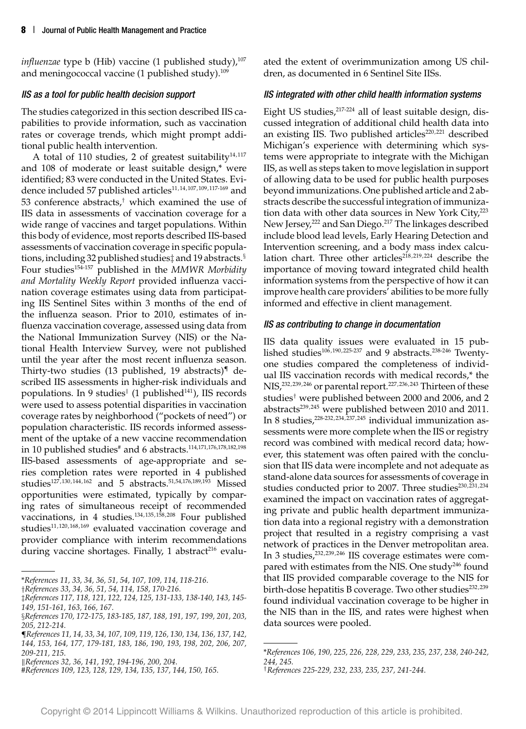*influenzae* type b (Hib) vaccine (1 published study),<sup>107</sup> and meningococcal vaccine (1 published study).<sup>109</sup>

#### IIS as <sup>a</sup> tool for public health decision support

The studies categorized in this section described IIS capabilities to provide information, such as vaccination rates or coverage trends, which might prompt additional public health intervention.

A total of 110 studies, 2 of greatest suitability<sup>14,117</sup> and 108 of moderate or least suitable design,\* were identified; 83 were conducted in the United States. Evidence included 57 published articles<sup>11,14,107,109,117-169</sup> and 53 conference abstracts, $\dagger$  which examined the use of IIS data in assessments of vaccination coverage for a wide range of vaccines and target populations. Within this body of evidence, most reports described IIS-based assessments of vaccination coverage in specific populations, including 32 published studies‡ and 19 abstracts.§ Four studies154-157 published in the *MMWR Morbidity and Mortality Weekly Report* provided influenza vaccination coverage estimates using data from participating IIS Sentinel Sites within 3 months of the end of the influenza season. Prior to 2010, estimates of influenza vaccination coverage, assessed using data from the National Immunization Survey (NIS) or the National Health Interview Survey, were not published until the year after the most recent influenza season. Thirty-two studies (13 published, 19 abstracts)<sup>¶</sup> described IIS assessments in higher-risk individuals and populations. In 9 studies<sup> $\parallel$ </sup> (1 published<sup>141</sup>), IIS records were used to assess potential disparities in vaccination coverage rates by neighborhood ("pockets of need") or population characteristic. IIS records informed assessment of the uptake of a new vaccine recommendation in 10 published studies<sup>#</sup> and 6 abstracts.<sup>114,171,176,178,182,198</sup> IIS-based assessments of age-appropriate and series completion rates were reported in 4 published studies<sup>127,130,144,162</sup> and 5 abstracts.<sup>51,54,176,189,193</sup> Missed opportunities were estimated, typically by comparing rates of simultaneous receipt of recommended vaccinations, in 4 studies.134,135,158,208 Four published studies<sup>11,120,168,169</sup> evaluated vaccination coverage and provider compliance with interim recommendations during vaccine shortages. Finally, 1 abstract<sup>216</sup> evalu-

†*References 33, 34, 36, 51, 54, 114, 158, 170-216*.

ated the extent of overimmunization among US children, as documented in 6 Sentinel Site IISs.

#### IIS integrated with other child health information systems

Eight US studies,<sup>217-224</sup> all of least suitable design, discussed integration of additional child health data into an existing IIS. Two published articles $220,221$  described Michigan's experience with determining which systems were appropriate to integrate with the Michigan IIS, as well as steps taken to move legislation in support of allowing data to be used for public health purposes beyond immunizations. One published article and 2 abstracts describe the successful integration of immunization data with other data sources in New York City, $223$ New Jersey,<sup>222</sup> and San Diego.<sup>217</sup> The linkages described include blood lead levels, Early Hearing Detection and Intervention screening, and a body mass index calculation chart. Three other articles<sup>218,219,224</sup> describe the importance of moving toward integrated child health information systems from the perspective of how it can improve health care providers' abilities to be more fully informed and effective in client management.

#### IIS as contributing to change in documentation

IIS data quality issues were evaluated in 15 published studies<sup>106,190,225-237</sup> and 9 abstracts.<sup>238-246</sup> Twentyone studies compared the completeness of individual IIS vaccination records with medical records,\* the NIS,<sup>232,239,246</sup> or parental report.<sup>227,236,243</sup> Thirteen of these studies† were published between 2000 and 2006, and 2 abstracts239,245 were published between 2010 and 2011. In 8 studies,228-232,234,237,245 individual immunization assessments were more complete when the IIS or registry record was combined with medical record data; however, this statement was often paired with the conclusion that IIS data were incomplete and not adequate as stand-alone data sources for assessments of coverage in studies conducted prior to 2007. Three studies<sup>230,231,234</sup> examined the impact on vaccination rates of aggregating private and public health department immunization data into a regional registry with a demonstration project that resulted in a registry comprising a vast network of practices in the Denver metropolitan area. In 3 studies,<sup>232,239,246</sup> IIS coverage estimates were compared with estimates from the NIS. One study<sup>246</sup> found that IIS provided comparable coverage to the NIS for birth-dose hepatitis B coverage. Two other studies<sup>232,239</sup> found individual vaccination coverage to be higher in the NIS than in the IIS, and rates were highest when data sources were pooled.

<sup>\*</sup>*References 11, 33, 34, 36, 51, 54, 107, 109, 114, 118-216*.

<sup>‡</sup>*References 117, 118, 121, 122, 124, 125, 131-133, 138-140, 143, 145- 149, 151-161, 163, 166, 167*.

<sup>§</sup>*References 170, 172-175, 183-185, 187, 188, 191, 197, 199, 201, 203, 205, 212-214*.

<sup>¶</sup>*References 11, 14, 33, 34, 107, 109, 119, 126, 130, 134, 136, 137, 142, 144, 153, 164, 177, 179-181, 183, 186, 190, 193, 198, 202, 206, 207, 209-211, 215*.

*References 32, 36, 141, 192, 194-196, 200, 204*.

<sup>#</sup>*References 109, 123, 128, 129, 134, 135, 137, 144, 150, 165*.

<sup>\*</sup>*References 106, 190, 225, 226, 228, 229, 233, 235, 237, 238, 240-242, 244, 245*.

<sup>†</sup>*References 225-229, 232, 233, 235, 237, 241-244*.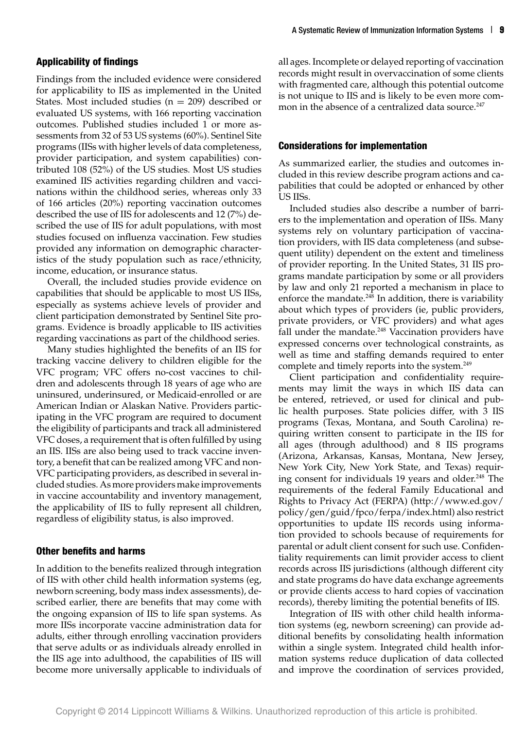#### **Applicability of findings**

Findings from the included evidence were considered for applicability to IIS as implemented in the United States. Most included studies ( $n = 209$ ) described or evaluated US systems, with 166 reporting vaccination outcomes. Published studies included 1 or more assessments from 32 of 53 US systems (60%). Sentinel Site programs (IISs with higher levels of data completeness, provider participation, and system capabilities) contributed 108 (52%) of the US studies. Most US studies examined IIS activities regarding children and vaccinations within the childhood series, whereas only 33 of 166 articles (20%) reporting vaccination outcomes described the use of IIS for adolescents and 12 (7%) described the use of IIS for adult populations, with most studies focused on influenza vaccination. Few studies provided any information on demographic characteristics of the study population such as race/ethnicity, income, education, or insurance status.

Overall, the included studies provide evidence on capabilities that should be applicable to most US IISs, especially as systems achieve levels of provider and client participation demonstrated by Sentinel Site programs. Evidence is broadly applicable to IIS activities regarding vaccinations as part of the childhood series.

Many studies highlighted the benefits of an IIS for tracking vaccine delivery to children eligible for the VFC program; VFC offers no-cost vaccines to children and adolescents through 18 years of age who are uninsured, underinsured, or Medicaid-enrolled or are American Indian or Alaskan Native. Providers participating in the VFC program are required to document the eligibility of participants and track all administered VFC doses, a requirement that is often fulfilled by using an IIS. IISs are also being used to track vaccine inventory, a benefit that can be realized among VFC and non-VFC participating providers, as described in several included studies. As more providers make improvements in vaccine accountability and inventory management, the applicability of IIS to fully represent all children, regardless of eligibility status, is also improved.

#### **Other benefits and harms**

In addition to the benefits realized through integration of IIS with other child health information systems (eg, newborn screening, body mass index assessments), described earlier, there are benefits that may come with the ongoing expansion of IIS to life span systems. As more IISs incorporate vaccine administration data for adults, either through enrolling vaccination providers that serve adults or as individuals already enrolled in the IIS age into adulthood, the capabilities of IIS will become more universally applicable to individuals of all ages. Incomplete or delayed reporting of vaccination records might result in overvaccination of some clients with fragmented care, although this potential outcome is not unique to IIS and is likely to be even more common in the absence of a centralized data source.<sup>247</sup>

#### **Considerations for implementation**

As summarized earlier, the studies and outcomes included in this review describe program actions and capabilities that could be adopted or enhanced by other US IISs.

Included studies also describe a number of barriers to the implementation and operation of IISs. Many systems rely on voluntary participation of vaccination providers, with IIS data completeness (and subsequent utility) dependent on the extent and timeliness of provider reporting. In the United States, 31 IIS programs mandate participation by some or all providers by law and only 21 reported a mechanism in place to enforce the mandate.<sup>248</sup> In addition, there is variability about which types of providers (ie, public providers, private providers, or VFC providers) and what ages fall under the mandate.<sup>248</sup> Vaccination providers have expressed concerns over technological constraints, as well as time and staffing demands required to enter complete and timely reports into the system.<sup>249</sup>

Client participation and confidentiality requirements may limit the ways in which IIS data can be entered, retrieved, or used for clinical and public health purposes. State policies differ, with 3 IIS programs (Texas, Montana, and South Carolina) requiring written consent to participate in the IIS for all ages (through adulthood) and 8 IIS programs (Arizona, Arkansas, Kansas, Montana, New Jersey, New York City, New York State, and Texas) requiring consent for individuals 19 years and older.<sup>248</sup> The requirements of the federal Family Educational and Rights to Privacy Act (FERPA) [\(http://www.ed.gov/](http://www.ed.gov/policy/gen/guid/fpco/ferpa/index.html) [policy/gen/guid/fpco/ferpa/index.html\)](http://www.ed.gov/policy/gen/guid/fpco/ferpa/index.html) also restrict opportunities to update IIS records using information provided to schools because of requirements for parental or adult client consent for such use. Confidentiality requirements can limit provider access to client records across IIS jurisdictions (although different city and state programs do have data exchange agreements or provide clients access to hard copies of vaccination records), thereby limiting the potential benefits of IIS.

Integration of IIS with other child health information systems (eg, newborn screening) can provide additional benefits by consolidating health information within a single system. Integrated child health information systems reduce duplication of data collected and improve the coordination of services provided,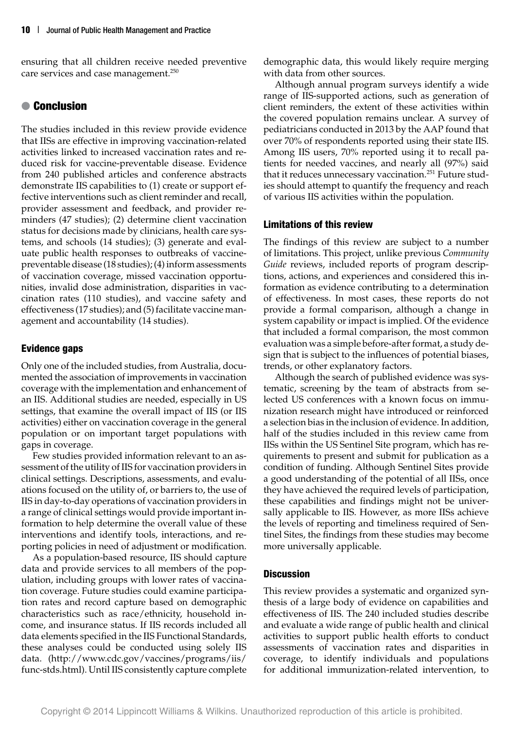ensuring that all children receive needed preventive care services and case management.<sup>250</sup>

# ● **Conclusion**

The studies included in this review provide evidence that IISs are effective in improving vaccination-related activities linked to increased vaccination rates and reduced risk for vaccine-preventable disease. Evidence from 240 published articles and conference abstracts demonstrate IIS capabilities to (1) create or support effective interventions such as client reminder and recall, provider assessment and feedback, and provider reminders (47 studies); (2) determine client vaccination status for decisions made by clinicians, health care systems, and schools (14 studies); (3) generate and evaluate public health responses to outbreaks of vaccinepreventable disease (18 studies); (4) inform assessments of vaccination coverage, missed vaccination opportunities, invalid dose administration, disparities in vaccination rates (110 studies), and vaccine safety and effectiveness (17 studies); and (5) facilitate vaccine management and accountability (14 studies).

#### **Evidence gaps**

Only one of the included studies, from Australia, documented the association of improvements in vaccination coverage with the implementation and enhancement of an IIS. Additional studies are needed, especially in US settings, that examine the overall impact of IIS (or IIS activities) either on vaccination coverage in the general population or on important target populations with gaps in coverage.

Few studies provided information relevant to an assessment of the utility of IIS for vaccination providers in clinical settings. Descriptions, assessments, and evaluations focused on the utility of, or barriers to, the use of IIS in day-to-day operations of vaccination providers in a range of clinical settings would provide important information to help determine the overall value of these interventions and identify tools, interactions, and reporting policies in need of adjustment or modification.

As a population-based resource, IIS should capture data and provide services to all members of the population, including groups with lower rates of vaccination coverage. Future studies could examine participation rates and record capture based on demographic characteristics such as race/ethnicity, household income, and insurance status. If IIS records included all data elements specified in the IIS Functional Standards, these analyses could be conducted using solely IIS data. [\(http://www.cdc.gov/vaccines/programs/iis/](http://www.cdc.gov/vaccines/programs/iis/func-stds.html) [func-stds.html\)](http://www.cdc.gov/vaccines/programs/iis/func-stds.html). Until IIS consistently capture complete demographic data, this would likely require merging with data from other sources.

Although annual program surveys identify a wide range of IIS-supported actions, such as generation of client reminders, the extent of these activities within the covered population remains unclear. A survey of pediatricians conducted in 2013 by the AAP found that over 70% of respondents reported using their state IIS. Among IIS users, 70% reported using it to recall patients for needed vaccines, and nearly all (97%) said that it reduces unnecessary vaccination.<sup>251</sup> Future studies should attempt to quantify the frequency and reach of various IIS activities within the population.

#### **Limitations of this review**

The findings of this review are subject to a number of limitations. This project, unlike previous *Community Guide* reviews, included reports of program descriptions, actions, and experiences and considered this information as evidence contributing to a determination of effectiveness. In most cases, these reports do not provide a formal comparison, although a change in system capability or impact is implied. Of the evidence that included a formal comparison, the most common evaluation was a simple before-after format, a study design that is subject to the influences of potential biases, trends, or other explanatory factors.

Although the search of published evidence was systematic, screening by the team of abstracts from selected US conferences with a known focus on immunization research might have introduced or reinforced a selection bias in the inclusion of evidence. In addition, half of the studies included in this review came from IISs within the US Sentinel Site program, which has requirements to present and submit for publication as a condition of funding. Although Sentinel Sites provide a good understanding of the potential of all IISs, once they have achieved the required levels of participation, these capabilities and findings might not be universally applicable to IIS. However, as more IISs achieve the levels of reporting and timeliness required of Sentinel Sites, the findings from these studies may become more universally applicable.

#### **Discussion**

This review provides a systematic and organized synthesis of a large body of evidence on capabilities and effectiveness of IIS. The 240 included studies describe and evaluate a wide range of public health and clinical activities to support public health efforts to conduct assessments of vaccination rates and disparities in coverage, to identify individuals and populations for additional immunization-related intervention, to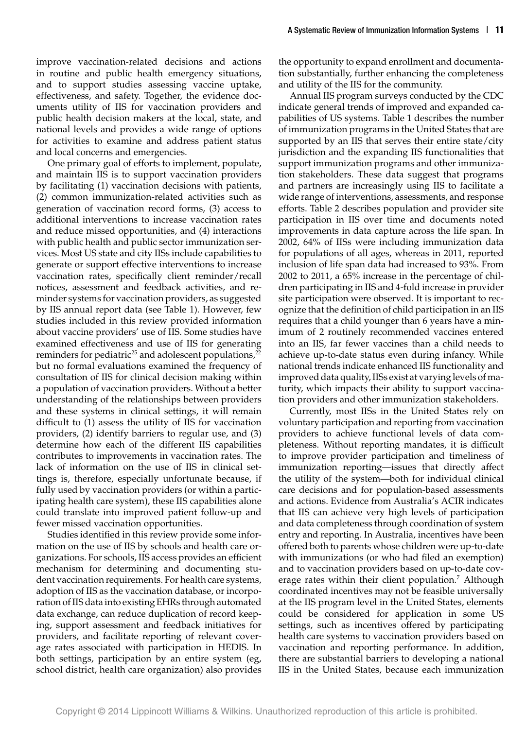improve vaccination-related decisions and actions in routine and public health emergency situations, and to support studies assessing vaccine uptake, effectiveness, and safety. Together, the evidence documents utility of IIS for vaccination providers and public health decision makers at the local, state, and national levels and provides a wide range of options for activities to examine and address patient status and local concerns and emergencies.

One primary goal of efforts to implement, populate, and maintain IIS is to support vaccination providers by facilitating (1) vaccination decisions with patients, (2) common immunization-related activities such as generation of vaccination record forms, (3) access to additional interventions to increase vaccination rates and reduce missed opportunities, and (4) interactions with public health and public sector immunization services. Most US state and city IISs include capabilities to generate or support effective interventions to increase vaccination rates, specifically client reminder/recall notices, assessment and feedback activities, and reminder systems for vaccination providers, as suggested by IIS annual report data (see Table 1). However, few studies included in this review provided information about vaccine providers' use of IIS. Some studies have examined effectiveness and use of IIS for generating reminders for pediatric<sup>25</sup> and adolescent populations,<sup>22</sup> but no formal evaluations examined the frequency of consultation of IIS for clinical decision making within a population of vaccination providers. Without a better understanding of the relationships between providers and these systems in clinical settings, it will remain difficult to (1) assess the utility of IIS for vaccination providers, (2) identify barriers to regular use, and (3) determine how each of the different IIS capabilities contributes to improvements in vaccination rates. The lack of information on the use of IIS in clinical settings is, therefore, especially unfortunate because, if fully used by vaccination providers (or within a participating health care system), these IIS capabilities alone could translate into improved patient follow-up and fewer missed vaccination opportunities.

Studies identified in this review provide some information on the use of IIS by schools and health care organizations. For schools, IIS access provides an efficient mechanism for determining and documenting student vaccination requirements. For health care systems, adoption of IIS as the vaccination database, or incorporation of IIS data into existing EHRs through automated data exchange, can reduce duplication of record keeping, support assessment and feedback initiatives for providers, and facilitate reporting of relevant coverage rates associated with participation in HEDIS. In both settings, participation by an entire system (eg, school district, health care organization) also provides the opportunity to expand enrollment and documentation substantially, further enhancing the completeness and utility of the IIS for the community.

Annual IIS program surveys conducted by the CDC indicate general trends of improved and expanded capabilities of US systems. Table 1 describes the number of immunization programs in the United States that are supported by an IIS that serves their entire state/city jurisdiction and the expanding IIS functionalities that support immunization programs and other immunization stakeholders. These data suggest that programs and partners are increasingly using IIS to facilitate a wide range of interventions, assessments, and response efforts. Table 2 describes population and provider site participation in IIS over time and documents noted improvements in data capture across the life span. In 2002, 64% of IISs were including immunization data for populations of all ages, whereas in 2011, reported inclusion of life span data had increased to 93%. From 2002 to 2011, a 65% increase in the percentage of children participating in IIS and 4-fold increase in provider site participation were observed. It is important to recognize that the definition of child participation in an IIS requires that a child younger than 6 years have a minimum of 2 routinely recommended vaccines entered into an IIS, far fewer vaccines than a child needs to achieve up-to-date status even during infancy. While national trends indicate enhanced IIS functionality and improved data quality, IISs exist at varying levels of maturity, which impacts their ability to support vaccination providers and other immunization stakeholders.

Currently, most IISs in the United States rely on voluntary participation and reporting from vaccination providers to achieve functional levels of data completeness. Without reporting mandates, it is difficult to improve provider participation and timeliness of immunization reporting—issues that directly affect the utility of the system—both for individual clinical care decisions and for population-based assessments and actions. Evidence from Australia's ACIR indicates that IIS can achieve very high levels of participation and data completeness through coordination of system entry and reporting. In Australia, incentives have been offered both to parents whose children were up-to-date with immunizations (or who had filed an exemption) and to vaccination providers based on up-to-date coverage rates within their client population.<sup>7</sup> Although coordinated incentives may not be feasible universally at the IIS program level in the United States, elements could be considered for application in some US settings, such as incentives offered by participating health care systems to vaccination providers based on vaccination and reporting performance. In addition, there are substantial barriers to developing a national IIS in the United States, because each immunization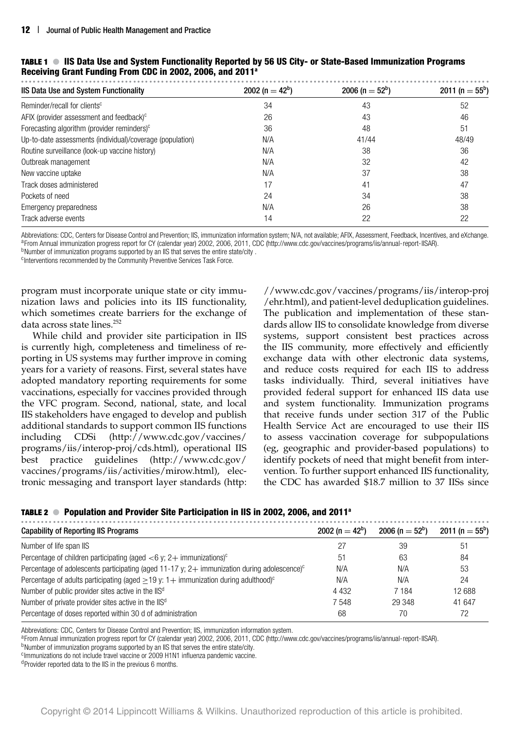| <b>IIS Data Use and System Functionality</b>              | 2002 (n = $42^b$ ) | 2006 (n = $52b$ ) | 2011 (n = $55b$ ) |
|-----------------------------------------------------------|--------------------|-------------------|-------------------|
| Reminder/recall for clients <sup>c</sup>                  | 34                 | 43                | 52                |
| AFIX (provider assessment and feedback) $\text{c}$        | 26                 | 43                | 46                |
| Forecasting algorithm (provider reminders) <sup>c</sup>   | 36                 | 48                | 51                |
| Up-to-date assessments (individual)/coverage (population) | N/A                | 41/44             | 48/49             |
| Routine surveillance (look-up vaccine history)            | N/A                | 38                | 36                |
| Outbreak management                                       | N/A                | 32                | 42                |
| New vaccine uptake                                        | N/A                | 37                | 38                |
| Track doses administered                                  | 17                 | 41                | 47                |
| Pockets of need                                           | 24                 | 34                | 38                |
| Emergency preparedness                                    | N/A                | 26                | 38                |
| Track adverse events                                      | 14                 | 22                | 22                |

|  | TABLE 1 ● IIS Data Use and System Functionality Reported by 56 US City- or State-Based Immunization Programs |  |  |  |
|--|--------------------------------------------------------------------------------------------------------------|--|--|--|
|  | Receiving Grant Funding From CDC in 2002, 2006, and 2011 <sup>a</sup>                                        |  |  |  |

Abbreviations: CDC, Centers for Disease Control and Prevention; IIS, immunization information system; N/A, not available; AFIX, Assessment, Feedback, Incentives, and eXchange.<br><sup>a</sup>From Annual immunization progress report fo

<sup>c</sup>Interventions recommended by the Community Preventive Services Task Force.

program must incorporate unique state or city immunization laws and policies into its IIS functionality, which sometimes create barriers for the exchange of data across state lines.<sup>252</sup>

While child and provider site participation in IIS is currently high, completeness and timeliness of reporting in US systems may further improve in coming years for a variety of reasons. First, several states have adopted mandatory reporting requirements for some vaccinations, especially for vaccines provided through the VFC program. Second, national, state, and local IIS stakeholders have engaged to develop and publish additional standards to support common IIS functions including CDSi [\(http://www.cdc.gov/vaccines/](http://www.cdc.gov/vaccines/programs/iis/interop-proj/cds.html) [programs/iis/interop-proj/cds.html\)](http://www.cdc.gov/vaccines/programs/iis/interop-proj/cds.html), operational IIS best practice guidelines [\(http://www.cdc.gov/](http://www.cdc.gov/vaccines/programs/iis/activities/mirow.html) [vaccines/programs/iis/activities/mirow.html\)](http://www.cdc.gov/vaccines/programs/iis/activities/mirow.html), electronic messaging and transport layer standards (http: //www.cdc.gov/vaccines/programs/iis/interop-proj [/ehr.html\)](http://www.cdc.gov/vaccines/programs/iis/interop-proj/ehr.html), and patient-level deduplication guidelines. The publication and implementation of these standards allow IIS to consolidate knowledge from diverse systems, support consistent best practices across the IIS community, more effectively and efficiently exchange data with other electronic data systems, and reduce costs required for each IIS to address tasks individually. Third, several initiatives have provided federal support for enhanced IIS data use and system functionality. Immunization programs that receive funds under section 317 of the Public Health Service Act are encouraged to use their IIS to assess vaccination coverage for subpopulations (eg, geographic and provider-based populations) to identify pockets of need that might benefit from intervention. To further support enhanced IIS functionality, the CDC has awarded \$18.7 million to 37 IISs since

| TABLE 2 <sup>o</sup> | Population and Provider Site Participation in IIS in 2002, 2006, and 2011 <sup>a</sup> |  |  |  |  |  |
|----------------------|----------------------------------------------------------------------------------------|--|--|--|--|--|
|----------------------|----------------------------------------------------------------------------------------|--|--|--|--|--|

| <b>Capability of Reporting IIS Programs</b>                                                          | 2002 (n = $42^b$ ) | 2006 (n $=$ 52 <sup>b</sup> ) | 2011 (n = $55^b$ ) |
|------------------------------------------------------------------------------------------------------|--------------------|-------------------------------|--------------------|
| Number of life span IIS                                                                              |                    | 39                            | 5 <sup>1</sup>     |
| Percentage of children participating (aged $<$ 6 y; 2+ immunizations) <sup>c</sup>                   | 51                 | 63                            | 84                 |
| Percentage of adolescents participating (aged 11-17 y; 2+ immunization during adolescence) $\circ$   | N/A                | N/A                           | 53                 |
| Percentage of adults participating (aged $\geq$ 19 y: 1+ immunization during adulthood) <sup>c</sup> | N/A                | N/A                           | 24                 |
| Number of public provider sites active in the IIS <sup>d</sup>                                       | 4 4 3 2            | 7 1 8 4                       | 12 688             |
| Number of private provider sites active in the IIS <sup>d</sup>                                      | 7548               | 29 348                        | 41 647             |
| Percentage of doses reported within 30 d of administration                                           | 68                 | 70                            | 72                 |

Abbreviations: CDC, Centers for Disease Control and Prevention; IIS, immunization information system.

<sup>a</sup>From Annual immunization progress report for CY (calendar year) 2002, 2006, 2011, CDC [\(http://www.cdc.gov/vaccines/programs/iis/annual-report-IISAR\)](http://www.cdc.gov/vaccines/programs/iis/annual-report-IISAR).<br><sup>b</sup>Number of immunization programs supported by an IIS that serves th

<sup>c</sup>Immunizations do not include travel vaccine or 2009 H1N1 influenza pandemic vaccine.

dProvider reported data to the IIS in the previous 6 months.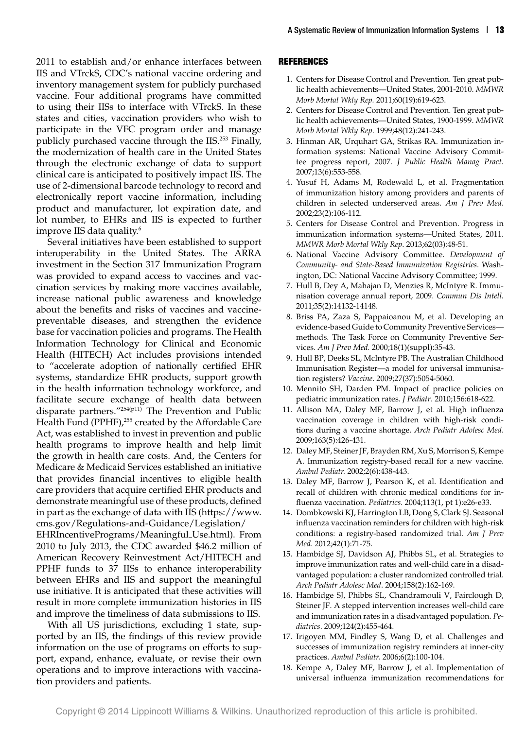2011 to establish and/or enhance interfaces between IIS and VTrckS, CDC's national vaccine ordering and inventory management system for publicly purchased vaccine. Four additional programs have committed to using their IISs to interface with VTrckS. In these states and cities, vaccination providers who wish to participate in the VFC program order and manage publicly purchased vaccine through the IIS.253 Finally, the modernization of health care in the United States through the electronic exchange of data to support clinical care is anticipated to positively impact IIS. The use of 2-dimensional barcode technology to record and electronically report vaccine information, including product and manufacturer, lot expiration date, and lot number, to EHRs and IIS is expected to further improve IIS data quality.<sup>6</sup>

Several initiatives have been established to support interoperability in the United States. The ARRA investment in the Section 317 Immunization Program was provided to expand access to vaccines and vaccination services by making more vaccines available, increase national public awareness and knowledge about the benefits and risks of vaccines and vaccinepreventable diseases, and strengthen the evidence base for vaccination policies and programs. The Health Information Technology for Clinical and Economic Health (HITECH) Act includes provisions intended to "accelerate adoption of nationally certified EHR systems, standardize EHR products, support growth in the health information technology workforce, and facilitate secure exchange of health data between disparate partners."<sup>254(p11)</sup> The Prevention and Public Health Fund (PPHF),<sup>255</sup> created by the Affordable Care Act, was established to invest in prevention and public health programs to improve health and help limit the growth in health care costs. And, the Centers for Medicare & Medicaid Services established an initiative that provides financial incentives to eligible health care providers that acquire certified EHR products and demonstrate meaningful use of these products, defined in part as the exchange of data with IIS (https:/[/www.](http://www.cms.gov/Regulations-and-Guidance/Legislation/EHRIncentivePrograms/Meaningful_Use.html) [cms.gov/Regulations-and-Guidance/Legislation/](http://www.cms.gov/Regulations-and-Guidance/Legislation/EHRIncentivePrograms/Meaningful_Use.html) [EHRIncentivePrograms/Meaningful](http://www.cms.gov/Regulations-and-Guidance/Legislation/EHRIncentivePrograms/Meaningful_Use.html) Use.html). From 2010 to July 2013, the CDC awarded \$46.2 million of American Recovery Reinvestment Act/HITECH and PPHF funds to 37 IISs to enhance interoperability between EHRs and IIS and support the meaningful use initiative. It is anticipated that these activities will result in more complete immunization histories in IIS and improve the timeliness of data submissions to IIS.

With all US jurisdictions, excluding 1 state, supported by an IIS, the findings of this review provide information on the use of programs on efforts to support, expand, enhance, evaluate, or revise their own operations and to improve interactions with vaccination providers and patients.

#### **REFERENCES**

- 1. Centers for Disease Control and Prevention. Ten great public health achievements—United States, 2001-2010. *MMWR Morb Mortal Wkly Rep.* 2011;60(19):619-623.
- 2. Centers for Disease Control and Prevention. Ten great public health achievements—United States, 1900-1999. *MMWR Morb Mortal Wkly Rep*. 1999;48(12):241-243.
- 3. Hinman AR, Urquhart GA, Strikas RA. Immunization information systems: National Vaccine Advisory Committee progress report, 2007. *J Public Health Manag Pract.* 2007;13(6):553-558.
- 4. Yusuf H, Adams M, Rodewald L, et al. Fragmentation of immunization history among providers and parents of children in selected underserved areas. *Am J Prev Med*. 2002;23(2):106-112.
- 5. Centers for Disease Control and Prevention. Progress in immunization information systems—United States, 2011. *MMWR Morb Mortal Wkly Rep*. 2013;62(03):48-51.
- 6. National Vaccine Advisory Committee. *Development of Community- and State-Based Immunization Registries*. Washington, DC: National Vaccine Advisory Committee; 1999.
- 7. Hull B, Dey A, Mahajan D, Menzies R, McIntyre R. Immunisation coverage annual report, 2009. *Commun Dis Intell.* 2011;35(2):14132-14148.
- 8. Briss PA, Zaza S, Pappaioanou M, et al. Developing an evidence-based Guide to Community Preventive Services methods. The Task Force on Community Preventive Services. *Am J Prev Med.* 2000;18(1)(suppl):35-43.
- 9. Hull BP, Deeks SL, McIntyre PB. The Australian Childhood Immunisation Register—a model for universal immunisation registers? *Vaccine*. 2009;27(37):5054-5060.
- 10. Mennito SH, Darden PM. Impact of practice policies on pediatric immunization rates. *J Pediatr*. 2010;156:618-622.
- 11. Allison MA, Daley MF, Barrow J, et al. High influenza vaccination coverage in children with high-risk conditions during a vaccine shortage. *Arch Pediatr Adolesc Med*. 2009;163(5):426-431.
- 12. Daley MF, Steiner JF, Brayden RM, Xu S, Morrison S, Kempe A. Immunization registry-based recall for a new vaccine. *Ambul Pediatr.* 2002;2(6):438-443.
- 13. Daley MF, Barrow J, Pearson K, et al. Identification and recall of children with chronic medical conditions for influenza vaccination. *Pediatrics*. 2004;113(1, pt 1):e26-e33.
- 14. Dombkowski KJ, Harrington LB, Dong S, Clark SJ. Seasonal influenza vaccination reminders for children with high-risk conditions: a registry-based randomized trial. *Am J Prev Med*. 2012;42(1):71-75.
- 15. Hambidge SJ, Davidson AJ, Phibbs SL, et al. Strategies to improve immunization rates and well-child care in a disadvantaged population: a cluster randomized controlled trial. *Arch Pediatr Adolesc Med*. 2004;158(2):162-169.
- 16. Hambidge SJ, Phibbs SL, Chandramouli V, Fairclough D, Steiner JF. A stepped intervention increases well-child care and immunization rates in a disadvantaged population. *Pediatrics*. 2009;124(2):455-464.
- 17. Irigoyen MM, Findley S, Wang D, et al. Challenges and successes of immunization registry reminders at inner-city practices. *Ambul Pediatr.* 2006;6(2):100-104.
- 18. Kempe A, Daley MF, Barrow J, et al. Implementation of universal influenza immunization recommendations for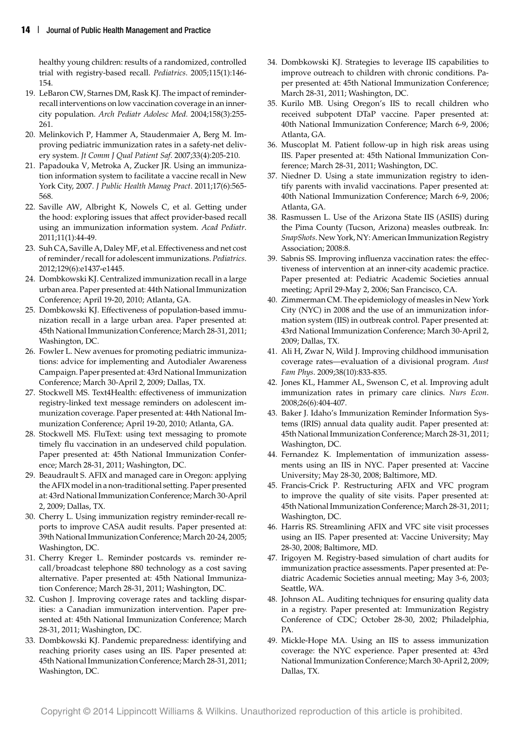healthy young children: results of a randomized, controlled trial with registry-based recall. *Pediatrics*. 2005;115(1):146- 154.

- 19. LeBaron CW, Starnes DM, Rask KJ. The impact of reminderrecall interventions on low vaccination coverage in an innercity population. *Arch Pediatr Adolesc Med.* 2004;158(3):255- 261.
- 20. Melinkovich P, Hammer A, Staudenmaier A, Berg M. Improving pediatric immunization rates in a safety-net delivery system. *Jt Comm J Qual Patient Saf*. 2007;33(4):205-210.
- 21. Papadouka V, Metroka A, Zucker JR. Using an immunization information system to facilitate a vaccine recall in New York City, 2007. *J Public Health Manag Pract*. 2011;17(6):565- 568.
- 22. Saville AW, Albright K, Nowels C, et al. Getting under the hood: exploring issues that affect provider-based recall using an immunization information system. *Acad Pediatr*. 2011;11(1):44-49.
- 23. Suh CA, Saville A, Daley MF, et al. Effectiveness and net cost of reminder/recall for adolescent immunizations. *Pediatrics*. 2012;129(6):e1437-e1445.
- 24. Dombkowski KJ. Centralized immunization recall in a large urban area. Paper presented at: 44th National Immunization Conference; April 19-20, 2010; Atlanta, GA.
- 25. Dombkowski KJ. Effectiveness of population-based immunization recall in a large urban area. Paper presented at: 45th National Immunization Conference; March 28-31, 2011; Washington, DC.
- 26. Fowler L. New avenues for promoting pediatric immunizations: advice for implementing and Autodialer Awareness Campaign. Paper presented at: 43rd National Immunization Conference; March 30-April 2, 2009; Dallas, TX.
- 27. Stockwell MS. Text4Health: effectiveness of immunization registry-linked text message reminders on adolescent immunization coverage. Paper presented at: 44th National Immunization Conference; April 19-20, 2010; Atlanta, GA.
- 28. Stockwell MS. FluText: using text messaging to promote timely flu vaccination in an undeserved child population. Paper presented at: 45th National Immunization Conference; March 28-31, 2011; Washington, DC.
- 29. Beaudrault S. AFIX and managed care in Oregon: applying the AFIX model in a non-traditional setting. Paper presented at: 43rd National Immunization Conference; March 30-April 2, 2009; Dallas, TX.
- 30. Cherry L. Using immunization registry reminder-recall reports to improve CASA audit results. Paper presented at: 39th National Immunization Conference; March 20-24, 2005; Washington, DC.
- 31. Cherry Kreger L. Reminder postcards vs. reminder recall/broadcast telephone 880 technology as a cost saving alternative. Paper presented at: 45th National Immunization Conference; March 28-31, 2011; Washington, DC.
- 32. Cushon J. Improving coverage rates and tackling disparities: a Canadian immunization intervention. Paper presented at: 45th National Immunization Conference; March 28-31, 2011; Washington, DC.
- 33. Dombkowski KJ. Pandemic preparedness: identifying and reaching priority cases using an IIS. Paper presented at: 45th National Immunization Conference; March 28-31, 2011; Washington, DC.
- 34. Dombkowski KJ. Strategies to leverage IIS capabilities to improve outreach to children with chronic conditions. Paper presented at: 45th National Immunization Conference; March 28-31, 2011; Washington, DC.
- 35. Kurilo MB. Using Oregon's IIS to recall children who received subpotent DTaP vaccine. Paper presented at: 40th National Immunization Conference; March 6-9, 2006; Atlanta, GA.
- 36. Muscoplat M. Patient follow-up in high risk areas using IIS. Paper presented at: 45th National Immunization Conference; March 28-31, 2011; Washington, DC.
- 37. Niedner D. Using a state immunization registry to identify parents with invalid vaccinations. Paper presented at: 40th National Immunization Conference; March 6-9, 2006; Atlanta, GA.
- 38. Rasmussen L. Use of the Arizona State IIS (ASIIS) during the Pima County (Tucson, Arizona) measles outbreak. In: *SnapShots*. New York, NY: American Immunization Registry Association; 2008:8.
- 39. Sabnis SS. Improving influenza vaccination rates: the effectiveness of intervention at an inner-city academic practice. Paper presented at: Pediatric Academic Societies annual meeting; April 29-May 2, 2006; San Francisco, CA.
- 40. Zimmerman CM. The epidemiology of measles in New York City (NYC) in 2008 and the use of an immunization information system (IIS) in outbreak control. Paper presented at: 43rd National Immunization Conference; March 30-April 2, 2009; Dallas, TX.
- 41. Ali H, Zwar N, Wild J. Improving childhood immunisation coverage rates—evaluation of a divisional program. *Aust Fam Phys*. 2009;38(10):833-835.
- 42. Jones KL, Hammer AL, Swenson C, et al. Improving adult immunization rates in primary care clinics. *Nurs Econ*. 2008;26(6):404-407.
- 43. Baker J. Idaho's Immunization Reminder Information Systems (IRIS) annual data quality audit. Paper presented at: 45th National Immunization Conference; March 28-31, 2011; Washington, DC.
- 44. Fernandez K. Implementation of immunization assessments using an IIS in NYC. Paper presented at: Vaccine University; May 28-30, 2008; Baltimore, MD.
- 45. Francis-Crick P. Restructuring AFIX and VFC program to improve the quality of site visits. Paper presented at: 45th National Immunization Conference; March 28-31, 2011; Washington, DC.
- 46. Harris RS. Streamlining AFIX and VFC site visit processes using an IIS. Paper presented at: Vaccine University; May 28-30, 2008; Baltimore, MD.
- 47. Irigoyen M. Registry-based simulation of chart audits for immunization practice assessments. Paper presented at: Pediatric Academic Societies annual meeting; May 3-6, 2003; Seattle, WA.
- 48. Johnson AL. Auditing techniques for ensuring quality data in a registry. Paper presented at: Immunization Registry Conference of CDC; October 28-30, 2002; Philadelphia, PA.
- 49. Mickle-Hope MA. Using an IIS to assess immunization coverage: the NYC experience. Paper presented at: 43rd National Immunization Conference; March 30-April 2, 2009; Dallas, TX.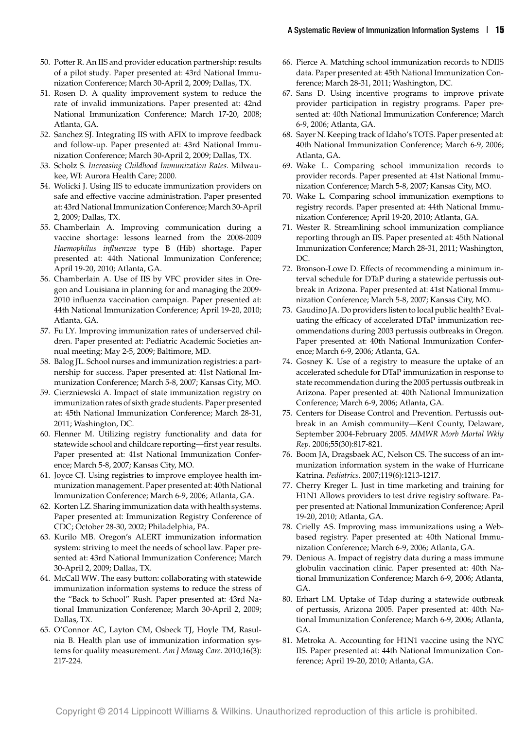- 50. Potter R. An IIS and provider education partnership: results of a pilot study. Paper presented at: 43rd National Immunization Conference; March 30-April 2, 2009; Dallas, TX.
- 51. Rosen D. A quality improvement system to reduce the rate of invalid immunizations. Paper presented at: 42nd National Immunization Conference; March 17-20, 2008; Atlanta, GA.
- 52. Sanchez SJ. Integrating IIS with AFIX to improve feedback and follow-up. Paper presented at: 43rd National Immunization Conference; March 30-April 2, 2009; Dallas, TX.
- 53. Scholz S. *Increasing Childhood Immunization Rates*. Milwaukee, WI: Aurora Health Care; 2000.
- 54. Wolicki J. Using IIS to educate immunization providers on safe and effective vaccine administration. Paper presented at: 43rd National Immunization Conference; March 30-April 2, 2009; Dallas, TX.
- 55. Chamberlain A. Improving communication during a vaccine shortage: lessons learned from the 2008-2009 *Haemophilus influenzae* type B (Hib) shortage. Paper presented at: 44th National Immunization Conference; April 19-20, 2010; Atlanta, GA.
- 56. Chamberlain A. Use of IIS by VFC provider sites in Oregon and Louisiana in planning for and managing the 2009- 2010 influenza vaccination campaign. Paper presented at: 44th National Immunization Conference; April 19-20, 2010; Atlanta, GA.
- 57. Fu LY. Improving immunization rates of underserved children. Paper presented at: Pediatric Academic Societies annual meeting; May 2-5, 2009; Baltimore, MD.
- 58. Balog JL. School nurses and immunization registries: a partnership for success. Paper presented at: 41st National Immunization Conference; March 5-8, 2007; Kansas City, MO.
- 59. Cierzniewski A. Impact of state immunization registry on immunization rates of sixth grade students. Paper presented at: 45th National Immunization Conference; March 28-31, 2011; Washington, DC.
- 60. Flenner M. Utilizing registry functionality and data for statewide school and childcare reporting—first year results. Paper presented at: 41st National Immunization Conference; March 5-8, 2007; Kansas City, MO.
- 61. Joyce CJ. Using registries to improve employee health immunization management. Paper presented at: 40th National Immunization Conference; March 6-9, 2006; Atlanta, GA.
- 62. Korten LZ. Sharing immunization data with health systems. Paper presented at: Immunization Registry Conference of CDC; October 28-30, 2002; Philadelphia, PA.
- 63. Kurilo MB. Oregon's ALERT immunization information system: striving to meet the needs of school law. Paper presented at: 43rd National Immunization Conference; March 30-April 2, 2009; Dallas, TX.
- 64. McCall WW. The easy button: collaborating with statewide immunization information systems to reduce the stress of the "Back to School" Rush. Paper presented at: 43rd National Immunization Conference; March 30-April 2, 2009; Dallas, TX.
- 65. O'Connor AC, Layton CM, Osbeck TJ, Hoyle TM, Rasulnia B. Health plan use of immunization information systems for quality measurement. *Am J Manag Care*. 2010;16(3): 217-224.
- 66. Pierce A. Matching school immunization records to NDIIS data. Paper presented at: 45th National Immunization Conference; March 28-31, 2011; Washington, DC.
- 67. Sans D. Using incentive programs to improve private provider participation in registry programs. Paper presented at: 40th National Immunization Conference; March 6-9, 2006; Atlanta, GA.
- 68. Sayer N. Keeping track of Idaho's TOTS. Paper presented at: 40th National Immunization Conference; March 6-9, 2006; Atlanta, GA.
- 69. Wake L. Comparing school immunization records to provider records. Paper presented at: 41st National Immunization Conference; March 5-8, 2007; Kansas City, MO.
- 70. Wake L. Comparing school immunization exemptions to registry records. Paper presented at: 44th National Immunization Conference; April 19-20, 2010; Atlanta, GA.
- 71. Wester R. Streamlining school immunization compliance reporting through an IIS. Paper presented at: 45th National Immunization Conference; March 28-31, 2011; Washington, DC.
- 72. Bronson-Lowe D. Effects of recommending a minimum interval schedule for DTaP during a statewide pertussis outbreak in Arizona. Paper presented at: 41st National Immunization Conference; March 5-8, 2007; Kansas City, MO.
- 73. Gaudino JA. Do providers listen to local public health? Evaluating the efficacy of accelerated DTaP immunization recommendations during 2003 pertussis outbreaks in Oregon. Paper presented at: 40th National Immunization Conference; March 6-9, 2006; Atlanta, GA.
- 74. Gosney K. Use of a registry to measure the uptake of an accelerated schedule for DTaP immunization in response to state recommendation during the 2005 pertussis outbreak in Arizona. Paper presented at: 40th National Immunization Conference; March 6-9, 2006; Atlanta, GA.
- 75. Centers for Disease Control and Prevention. Pertussis outbreak in an Amish community—Kent County, Delaware, September 2004-February 2005. *MMWR Morb Mortal Wkly Rep*. 2006;55(30):817-821.
- 76. Boom JA, Dragsbaek AC, Nelson CS. The success of an immunization information system in the wake of Hurricane Katrina. *Pediatrics*. 2007;119(6):1213-1217.
- 77. Cherry Kreger L. Just in time marketing and training for H1N1 Allows providers to test drive registry software. Paper presented at: National Immunization Conference; April 19-20, 2010; Atlanta, GA.
- 78. Crielly AS. Improving mass immunizations using a Webbased registry. Paper presented at: 40th National Immunization Conference; March 6-9, 2006; Atlanta, GA.
- 79. Denious A. Impact of registry data during a mass immune globulin vaccination clinic. Paper presented at: 40th National Immunization Conference; March 6-9, 2006; Atlanta, GA.
- 80. Erhart LM. Uptake of Tdap during a statewide outbreak of pertussis, Arizona 2005. Paper presented at: 40th National Immunization Conference; March 6-9, 2006; Atlanta, GA.
- 81. Metroka A. Accounting for H1N1 vaccine using the NYC IIS. Paper presented at: 44th National Immunization Conference; April 19-20, 2010; Atlanta, GA.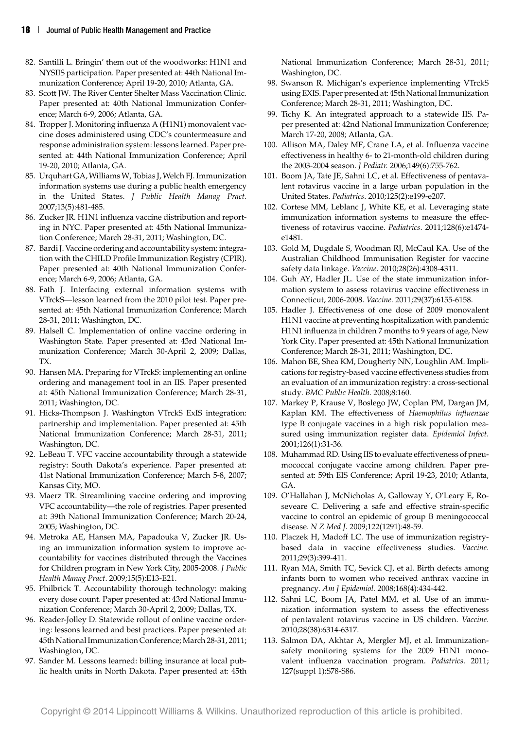- 82. Santilli L. Bringin' them out of the woodworks: H1N1 and NYSIIS participation. Paper presented at: 44th National Immunization Conference; April 19-20, 2010; Atlanta, GA.
- 83. Scott JW. The River Center Shelter Mass Vaccination Clinic. Paper presented at: 40th National Immunization Conference; March 6-9, 2006; Atlanta, GA.
- 84. Tropper J. Monitoring influenza A (H1N1) monovalent vaccine doses administered using CDC's countermeasure and response administration system: lessons learned. Paper presented at: 44th National Immunization Conference; April 19-20, 2010; Atlanta, GA.
- 85. Urquhart GA, Williams W, Tobias J, Welch FJ. Immunization information systems use during a public health emergency in the United States. *J Public Health Manag Pract.* 2007;13(5):481-485.
- 86. Zucker JR. H1N1 influenza vaccine distribution and reporting in NYC. Paper presented at: 45th National Immunization Conference; March 28-31, 2011; Washington, DC.
- 87. Bardi J. Vaccine ordering and accountability system: integration with the CHILD Profile Immunization Registry (CPIR). Paper presented at: 40th National Immunization Conference; March 6-9, 2006; Atlanta, GA.
- 88. Fath J. Interfacing external information systems with VTrckS—lesson learned from the 2010 pilot test. Paper presented at: 45th National Immunization Conference; March 28-31, 2011; Washington, DC.
- 89. Halsell C. Implementation of online vaccine ordering in Washington State. Paper presented at: 43rd National Immunization Conference; March 30-April 2, 2009; Dallas, TX.
- 90. Hansen MA. Preparing for VTrckS: implementing an online ordering and management tool in an IIS. Paper presented at: 45th National Immunization Conference; March 28-31, 2011; Washington, DC.
- 91. Hicks-Thompson J. Washington VTrckS ExIS integration: partnership and implementation. Paper presented at: 45th National Immunization Conference; March 28-31, 2011; Washington, DC.
- 92. LeBeau T. VFC vaccine accountability through a statewide registry: South Dakota's experience. Paper presented at: 41st National Immunization Conference; March 5-8, 2007; Kansas City, MO.
- 93. Maerz TR. Streamlining vaccine ordering and improving VFC accountability—the role of registries. Paper presented at: 39th National Immunization Conference; March 20-24, 2005; Washington, DC.
- 94. Metroka AE, Hansen MA, Papadouka V, Zucker JR. Using an immunization information system to improve accountability for vaccines distributed through the Vaccines for Children program in New York City, 2005-2008. *J Public Health Manag Pract*. 2009;15(5):E13-E21.
- 95. Philbrick T. Accountability thorough technology: making every dose count. Paper presented at: 43rd National Immunization Conference; March 30-April 2, 2009; Dallas, TX.
- 96. Reader-Jolley D. Statewide rollout of online vaccine ordering: lessons learned and best practices. Paper presented at: 45th National Immunization Conference; March 28-31, 2011; Washington, DC.
- 97. Sander M. Lessons learned: billing insurance at local public health units in North Dakota. Paper presented at: 45th

National Immunization Conference; March 28-31, 2011; Washington, DC.

- 98. Swanson R. Michigan's experience implementing VTrckS using EXIS. Paper presented at: 45th National Immunization Conference; March 28-31, 2011; Washington, DC.
- 99. Tichy K. An integrated approach to a statewide IIS. Paper presented at: 42nd National Immunization Conference; March 17-20, 2008; Atlanta, GA.
- 100. Allison MA, Daley MF, Crane LA, et al. Influenza vaccine effectiveness in healthy 6- to 21-month-old children during the 2003-2004 season. *J Pediatr.* 2006;149(6):755-762.
- 101. Boom JA, Tate JE, Sahni LC, et al. Effectiveness of pentavalent rotavirus vaccine in a large urban population in the United States. *Pediatrics*. 2010;125(2):e199-e207.
- 102. Cortese MM, Leblanc J, White KE, et al. Leveraging state immunization information systems to measure the effectiveness of rotavirus vaccine. *Pediatrics*. 2011;128(6):e1474 e1481.
- 103. Gold M, Dugdale S, Woodman RJ, McCaul KA. Use of the Australian Childhood Immunisation Register for vaccine safety data linkage. *Vaccine*. 2010;28(26):4308-4311.
- 104. Guh AY, Hadler JL. Use of the state immunization information system to assess rotavirus vaccine effectiveness in Connecticut, 2006-2008. *Vaccine*. 2011;29(37):6155-6158.
- 105. Hadler J. Effectiveness of one dose of 2009 monovalent H1N1 vaccine at preventing hospitalization with pandemic H1N1 influenza in children 7 months to 9 years of age, New York City. Paper presented at: 45th National Immunization Conference; March 28-31, 2011; Washington, DC.
- 106. Mahon BE, Shea KM, Dougherty NN, Loughlin AM. Implications for registry-based vaccine effectiveness studies from an evaluation of an immunization registry: a cross-sectional study. *BMC Public Health*. 2008;8:160.
- 107. Markey P, Krause V, Boslego JW, Coplan PM, Dargan JM, Kaplan KM. The effectiveness of *Haemophilus influenzae* type B conjugate vaccines in a high risk population measured using immunization register data. *Epidemiol Infect.* 2001;126(1):31-36.
- 108. Muhammad RD. Using IIS to evaluate effectiveness of pneumococcal conjugate vaccine among children. Paper presented at: 59th EIS Conference; April 19-23, 2010; Atlanta, GA.
- 109. O'Hallahan J, McNicholas A, Galloway Y, O'Leary E, Roseveare C. Delivering a safe and effective strain-specific vaccine to control an epidemic of group B meningococcal disease. *N Z Med J*. 2009;122(1291):48-59.
- 110. Placzek H, Madoff LC. The use of immunization registrybased data in vaccine effectiveness studies. *Vaccine*. 2011;29(3):399-411.
- 111. Ryan MA, Smith TC, Sevick CJ, et al. Birth defects among infants born to women who received anthrax vaccine in pregnancy. *Am J Epidemiol.* 2008;168(4):434-442.
- 112. Sahni LC, Boom JA, Patel MM, et al. Use of an immunization information system to assess the effectiveness of pentavalent rotavirus vaccine in US children. *Vaccine*. 2010;28(38):6314-6317.
- 113. Salmon DA, Akhtar A, Mergler MJ, et al. Immunizationsafety monitoring systems for the 2009 H1N1 monovalent influenza vaccination program. *Pediatrics*. 2011; 127(suppl 1):S78-S86.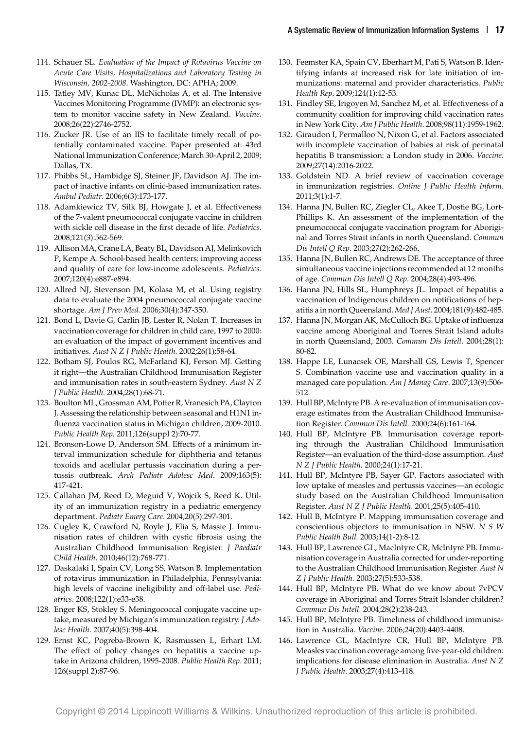- 114. Schauer SL. *Evaluation of the Impact of Rotavirus Vaccine on Acute Care Visits, Hospitalizations and Laboratory Testing in Wisconsin, 2002-2008*. Washington, DC: APHA; 2009.
- 115. Tatley MV, Kunac DL, McNicholas A, et al. The Intensive Vaccines Monitoring Programme (IVMP): an electronic system to monitor vaccine safety in New Zealand. *Vaccine*. 2008;26(22):2746-2752.
- 116. Zucker JR. Use of an IIS to facilitate timely recall of potentially contaminated vaccine. Paper presented at: 43rd National Immunization Conference; March 30-April 2, 2009; Dallas, TX.
- 117. Phibbs SL, Hambidge SJ, Steiner JF, Davidson AJ. The impact of inactive infants on clinic-based immunization rates. *Ambul Pediatr*. 2006;6(3):173-177.
- 118. Adamkiewicz TV, Silk BJ, Howgate J, et al. Effectiveness of the 7-valent pneumococcal conjugate vaccine in children with sickle cell disease in the first decade of life. *Pediatrics*. 2008;121(3):562-569.
- 119. Allison MA, Crane LA, Beaty BL, Davidson AJ, Melinkovich P, Kempe A. School-based health centers: improving access and quality of care for low-income adolescents. *Pediatrics*. 2007;120(4):e887-e894.
- 120. Allred NJ, Stevenson JM, Kolasa M, et al. Using registry data to evaluate the 2004 pneumococcal conjugate vaccine shortage. *Am J Prev Med.* 2006;30(4):347-350.
- 121. Bond L, Davie G, Carlin JB, Lester R, Nolan T. Increases in vaccination coverage for children in child care, 1997 to 2000: an evaluation of the impact of government incentives and initiatives. *Aust N Z J Public Health*. 2002;26(1):58-64.
- 122. Botham SJ, Poulos RG, McFarland KJ, Ferson MJ. Getting it right—the Australian Childhood Immunisation Register and immunisation rates in south-eastern Sydney. *Aust N Z J Public Health*. 2004;28(1):68-71.
- 123. Boulton ML, Grossman AM, Potter R, Vranesich PA, Clayton J. Assessing the relationship between seasonal and H1N1 influenza vaccination status in Michigan children, 2009-2010. *Public Health Rep.* 2011;126(suppl 2):70-77.
- 124. Bronson-Lowe D, Anderson SM. Effects of a minimum interval immunization schedule for diphtheria and tetanus toxoids and acellular pertussis vaccination during a pertussis outbreak. *Arch Pediatr Adolesc Med*. 2009;163(5): 417-421.
- 125. Callahan JM, Reed D, Meguid V, Wojcik S, Reed K. Utility of an immunization registry in a pediatric emergency department. *Pediatr Emerg Care*. 2004;20(5):297-301.
- 126. Cugley K, Crawford N, Royle J, Elia S, Massie J. Immunisation rates of children with cystic fibrosis using the Australian Childhood Immunisation Register. *J Paediatr Child Health*. 2010;46(12):768-771.
- 127. Daskalaki I, Spain CV, Long SS, Watson B. Implementation of rotavirus immunization in Philadelphia, Pennsylvania: high levels of vaccine ineligibility and off-label use. *Pediatrics*. 2008;122(1):e33-e38.
- 128. Enger KS, Stokley S. Meningococcal conjugate vaccine uptake, measured by Michigan's immunization registry. *J Adolesc Health*. 2007;40(5):398-404.
- 129. Ernst KC, Pogreba-Brown K, Rasmussen L, Erhart LM. The effect of policy changes on hepatitis a vaccine uptake in Arizona children, 1995-2008. *Public Health Rep*. 2011; 126(suppl 2):87-96.
- 130. Feemster KA, Spain CV, Eberhart M, Pati S, Watson B. Identifying infants at increased risk for late initiation of immunizations: maternal and provider characteristics. *Public Health Rep*. 2009;124(1):42-53.
- 131. Findley SE, Irigoyen M, Sanchez M, et al. Effectiveness of a community coalition for improving child vaccination rates in New York City. *Am J Public Health*. 2008;98(11):1959-1962.
- 132. Giraudon I, Permalloo N, Nixon G, et al. Factors associated with incomplete vaccination of babies at risk of perinatal hepatitis B transmission: a London study in 2006. *Vaccine*. 2009;27(14):2016-2022.
- 133. Goldstein ND. A brief review of vaccination coverage in immunization registries. *Online J Public Health Inform*. 2011;3(1):1-7.
- 134. Hanna JN, Bullen RC, Ziegler CL, Akee T, Dostie BG, Lort-Phillips K. An assessment of the implementation of the pneumococcal conjugate vaccination program for Aboriginal and Torres Strait infants in north Queensland. *Commun Dis Intell Q Rep*. 2003;27(2):262-266.
- 135. Hanna JN, Bullen RC, Andrews DE. The acceptance of three simultaneous vaccine injections recommended at 12 months of age. *Commun Dis Intell Q Rep*. 2004;28(4):493-496.
- 136. Hanna JN, Hills SL, Humphreys JL. Impact of hepatitis a vaccination of Indigenous children on notifications of hepatitis a in north Queensland. *Med J Aust.* 2004;181(9):482-485.
- 137. Hanna JN, Morgan AK, McCulloch BG. Uptake of influenza vaccine among Aboriginal and Torres Strait Island adults in north Queensland, 2003. *Commun Dis Intell.* 2004;28(1): 80-82.
- 138. Happe LE, Lunacsek OE, Marshall GS, Lewis T, Spencer S. Combination vaccine use and vaccination quality in a managed care population. *Am J Manag Care*. 2007;13(9):506- 512.
- 139. Hull BP, McIntyre PB. A re-evaluation of immunisation coverage estimates from the Australian Childhood Immunisation Register. *Commun Dis Intell.* 2000;24(6):161-164.
- 140. Hull BP, McIntyre PB. Immunisation coverage reporting through the Australian Childhood Immunisation Register—an evaluation of the third-dose assumption. *Aust N Z J Public Health*. 2000;24(1):17-21.
- 141. Hull BP, McIntyre PB, Sayer GP. Factors associated with low uptake of measles and pertussis vaccines—an ecologic study based on the Australian Childhood Immunisation Register. *Aust N Z J Public Health*. 2001;25(5):405-410.
- 142. Hull B, McIntyre P. Mapping immunisation coverage and conscientious objectors to immunisation in NSW. *N S W Public Health Bull.* 2003;14(1-2):8-12.
- 143. Hull BP, Lawrence GL, MacIntyre CR, McIntyre PB. Immunisation coverage in Australia corrected for under-reporting to the Australian Childhood Immunisation Register. *Aust N Z J Public Health.* 2003;27(5):533-538.
- 144. Hull BP, McIntyre PB. What do we know about 7vPCV coverage in Aboriginal and Torres Strait Islander children? *Commun Dis Intell.* 2004;28(2):238-243.
- 145. Hull BP, McIntyre PB. Timeliness of childhood immunisation in Australia. *Vaccine*. 2006;24(20):4403-4408.
- 146. Lawrence GL, MacIntyre CR, Hull BP, McIntyre PB. Measles vaccination coverage among five-year-old children: implications for disease elimination in Australia. *Aust N Z J Public Health*. 2003;27(4):413-418.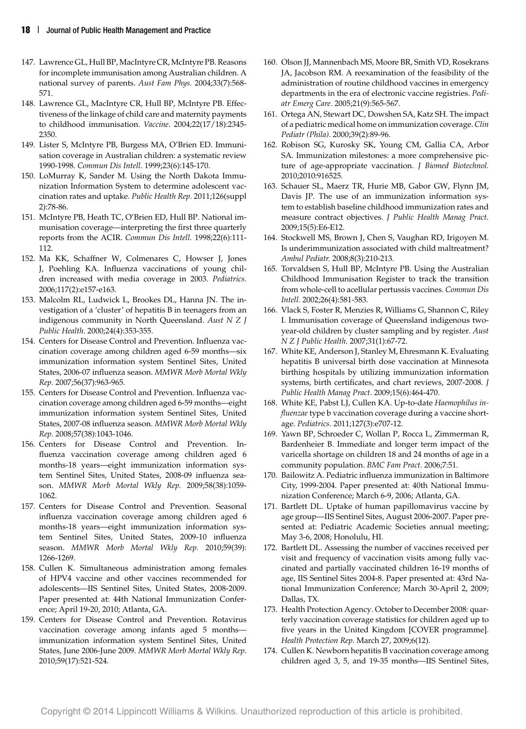- 147. Lawrence GL, Hull BP, MacIntyre CR, McIntyre PB. Reasons for incomplete immunisation among Australian children. A national survey of parents. *Aust Fam Phys.* 2004;33(7):568- 571.
- 148. Lawrence GL, MacIntyre CR, Hull BP, McIntyre PB. Effectiveness of the linkage of child care and maternity payments to childhood immunisation. *Vaccine*. 2004;22(17/18):2345- 2350.
- 149. Lister S, McIntyre PB, Burgess MA, O'Brien ED. Immunisation coverage in Australian children: a systematic review 1990-1998. *Commun Dis Intell*. 1999;23(6):145-170.
- 150. LoMurray K, Sander M. Using the North Dakota Immunization Information System to determine adolescent vaccination rates and uptake. *Public Health Rep.* 2011;126(suppl 2):78-86.
- 151. McIntyre PB, Heath TC, O'Brien ED, Hull BP. National immunisation coverage—interpreting the first three quarterly reports from the ACIR. *Commun Dis Intell.* 1998;22(6):111- 112.
- 152. Ma KK, Schaffner W, Colmenares C, Howser J, Jones J, Poehling KA. Influenza vaccinations of young children increased with media coverage in 2003. *Pediatrics*. 2006;117(2):e157-e163.
- 153. Malcolm RL, Ludwick L, Brookes DL, Hanna JN. The investigation of a 'cluster' of hepatitis B in teenagers from an indigenous community in North Queensland. *Aust N Z J Public Health*. 2000;24(4):353-355.
- 154. Centers for Disease Control and Prevention. Influenza vaccination coverage among children aged 6-59 months—six immunization information system Sentinel Sites, United States, 2006-07 influenza season. *MMWR Morb Mortal Wkly Rep.* 2007;56(37):963-965.
- 155. Centers for Disease Control and Prevention. Influenza vaccination coverage among children aged 6-59 months—eight immunization information system Sentinel Sites, United States, 2007-08 influenza season. *MMWR Morb Mortal Wkly Rep.* 2008;57(38):1043-1046.
- 156. Centers for Disease Control and Prevention. Influenza vaccination coverage among children aged 6 months-18 years—eight immunization information system Sentinel Sites, United States, 2008-09 influenza season. *MMWR Morb Mortal Wkly Rep.* 2009;58(38):1059- 1062.
- 157. Centers for Disease Control and Prevention. Seasonal influenza vaccination coverage among children aged 6 months-18 years—eight immunization information system Sentinel Sites, United States, 2009-10 influenza season. *MMWR Morb Mortal Wkly Rep.* 2010;59(39): 1266-1269.
- 158. Cullen K. Simultaneous administration among females of HPV4 vaccine and other vaccines recommended for adolescents—IIS Sentinel Sites, United States, 2008-2009. Paper presented at: 44th National Immunization Conference; April 19-20, 2010; Atlanta, GA.
- 159. Centers for Disease Control and Prevention. Rotavirus vaccination coverage among infants aged 5 months immunization information system Sentinel Sites, United States, June 2006-June 2009. *MMWR Morb Mortal Wkly Rep*. 2010;59(17):521-524.
- 160. Olson JJ, Mannenbach MS, Moore BR, Smith VD, Rosekrans JA, Jacobson RM. A reexamination of the feasibility of the administration of routine childhood vaccines in emergency departments in the era of electronic vaccine registries. *Pediatr Emerg Care*. 2005;21(9):565-567.
- 161. Ortega AN, Stewart DC, Dowshen SA, Katz SH. The impact of a pediatric medical home on immunization coverage.*Clin Pediatr (Phila)*. 2000;39(2):89-96.
- 162. Robison SG, Kurosky SK, Young CM, Gallia CA, Arbor SA. Immunization milestones: a more comprehensive picture of age-appropriate vaccination. *J Biomed Biotechnol.* 2010;2010:916525.
- 163. Schauer SL, Maerz TR, Hurie MB, Gabor GW, Flynn JM, Davis JP. The use of an immunization information system to establish baseline childhood immunization rates and measure contract objectives. *J Public Health Manag Pract.* 2009;15(5):E6-E12.
- 164. Stockwell MS, Brown J, Chen S, Vaughan RD, Irigoyen M. Is underimmunization associated with child maltreatment? *Ambul Pediatr.* 2008;8(3):210-213.
- 165. Torvaldsen S, Hull BP, McIntyre PB. Using the Australian Childhood Immunisation Register to track the transition from whole-cell to acellular pertussis vaccines. *Commun Dis Intell.* 2002;26(4):581-583.
- 166. Vlack S, Foster R, Menzies R, Williams G, Shannon C, Riley I. Immunisation coverage of Queensland indigenous twoyear-old children by cluster sampling and by register. *Aust N Z J Public Health*. 2007;31(1):67-72.
- 167. White KE, Anderson J, Stanley M, Ehresmann K. Evaluating hepatitis B universal birth dose vaccination at Minnesota birthing hospitals by utilizing immunization information systems, birth certificates, and chart reviews, 2007-2008. *J Public Health Manag Pract*. 2009;15(6):464-470.
- 168. White KE, Pabst LJ, Cullen KA. Up-to-date *Haemophilus influenzae* type b vaccination coverage during a vaccine shortage. *Pediatrics*. 2011;127(3):e707-12.
- 169. Yawn BP, Schroeder C, Wollan P, Rocca L, Zimmerman R, Bardenheier B. Immediate and longer term impact of the varicella shortage on children 18 and 24 months of age in a community population. *BMC Fam Pract.* 2006;7:51.
- 170. Bailowitz A. Pediatric influenza immunization in Baltimore City, 1999-2004. Paper presented at: 40th National Immunization Conference; March 6-9, 2006; Atlanta, GA.
- 171. Bartlett DL. Uptake of human papillomavirus vaccine by age group—IIS Sentinel Sites, August 2006-2007. Paper presented at: Pediatric Academic Societies annual meeting; May 3-6, 2008; Honolulu, HI.
- 172. Bartlett DL. Assessing the number of vaccines received per visit and frequency of vaccination visits among fully vaccinated and partially vaccinated children 16-19 months of age, IIS Sentinel Sites 2004-8. Paper presented at: 43rd National Immunization Conference; March 30-April 2, 2009; Dallas, TX.
- 173. Health Protection Agency. October to December 2008: quarterly vaccination coverage statistics for children aged up to five years in the United Kingdom [COVER programme]. *Health Protection Rep*. March 27, 2009;6(12).
- 174. Cullen K. Newborn hepatitis B vaccination coverage among children aged 3, 5, and 19-35 months—IIS Sentinel Sites,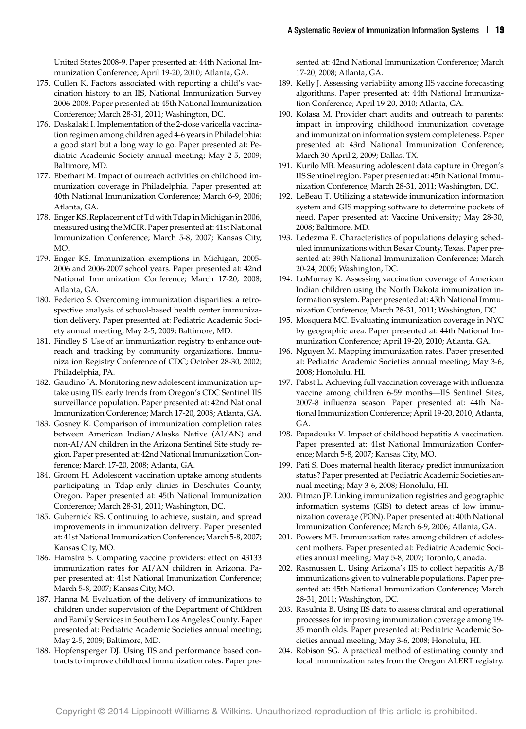United States 2008-9. Paper presented at: 44th National Immunization Conference; April 19-20, 2010; Atlanta, GA.

- 175. Cullen K. Factors associated with reporting a child's vaccination history to an IIS, National Immunization Survey 2006-2008. Paper presented at: 45th National Immunization Conference; March 28-31, 2011; Washington, DC.
- 176. Daskalaki I. Implementation of the 2-dose varicella vaccination regimen among children aged 4-6 years in Philadelphia: a good start but a long way to go. Paper presented at: Pediatric Academic Society annual meeting; May 2-5, 2009; Baltimore, MD.
- 177. Eberhart M. Impact of outreach activities on childhood immunization coverage in Philadelphia. Paper presented at: 40th National Immunization Conference; March 6-9, 2006; Atlanta, GA.
- 178. Enger KS. Replacement of Td with Tdap in Michigan in 2006, measured using the MCIR. Paper presented at: 41st National Immunization Conference; March 5-8, 2007; Kansas City, MO.
- 179. Enger KS. Immunization exemptions in Michigan, 2005- 2006 and 2006-2007 school years. Paper presented at: 42nd National Immunization Conference; March 17-20, 2008; Atlanta, GA.
- 180. Federico S. Overcoming immunization disparities: a retrospective analysis of school-based health center immunization delivery. Paper presented at: Pediatric Academic Society annual meeting; May 2-5, 2009; Baltimore, MD.
- 181. Findley S. Use of an immunization registry to enhance outreach and tracking by community organizations. Immunization Registry Conference of CDC; October 28-30, 2002; Philadelphia, PA.
- 182. Gaudino JA. Monitoring new adolescent immunization uptake using IIS: early trends from Oregon's CDC Sentinel IIS surveillance population. Paper presented at: 42nd National Immunization Conference; March 17-20, 2008; Atlanta, GA.
- 183. Gosney K. Comparison of immunization completion rates between American Indian/Alaska Native (AI/AN) and non-AI/AN children in the Arizona Sentinel Site study region. Paper presented at: 42nd National Immunization Conference; March 17-20, 2008; Atlanta, GA.
- 184. Groom H. Adolescent vaccination uptake among students participating in Tdap-only clinics in Deschutes County, Oregon. Paper presented at: 45th National Immunization Conference; March 28-31, 2011; Washington, DC.
- 185. Gubernick RS. Continuing to achieve, sustain, and spread improvements in immunization delivery. Paper presented at: 41st National Immunization Conference;March 5-8, 2007; Kansas City, MO.
- 186. Hamstra S. Comparing vaccine providers: effect on 43133 immunization rates for AI/AN children in Arizona. Paper presented at: 41st National Immunization Conference; March 5-8, 2007; Kansas City, MO.
- 187. Hanna M. Evaluation of the delivery of immunizations to children under supervision of the Department of Children and Family Services in Southern Los Angeles County. Paper presented at: Pediatric Academic Societies annual meeting; May 2-5, 2009; Baltimore, MD.
- 188. Hopfensperger DJ. Using IIS and performance based contracts to improve childhood immunization rates. Paper pre-

sented at: 42nd National Immunization Conference; March 17-20, 2008; Atlanta, GA.

- 189. Kelly J. Assessing variability among IIS vaccine forecasting algorithms. Paper presented at: 44th National Immunization Conference; April 19-20, 2010; Atlanta, GA.
- 190. Kolasa M. Provider chart audits and outreach to parents: impact in improving childhood immunization coverage and immunization information system completeness. Paper presented at: 43rd National Immunization Conference; March 30-April 2, 2009; Dallas, TX.
- 191. Kurilo MB. Measuring adolescent data capture in Oregon's IIS Sentinel region. Paper presented at: 45th National Immunization Conference; March 28-31, 2011; Washington, DC.
- 192. LeBeau T. Utilizing a statewide immunization information system and GIS mapping software to determine pockets of need. Paper presented at: Vaccine University; May 28-30, 2008; Baltimore, MD.
- 193. Ledezma E. Characteristics of populations delaying scheduled immunizations within Bexar County, Texas. Paper presented at: 39th National Immunization Conference; March 20-24, 2005; Washington, DC.
- 194. LoMurray K. Assessing vaccination coverage of American Indian children using the North Dakota immunization information system. Paper presented at: 45th National Immunization Conference; March 28-31, 2011; Washington, DC.
- 195. Mosquera MC. Evaluating immunization coverage in NYC by geographic area. Paper presented at: 44th National Immunization Conference; April 19-20, 2010; Atlanta, GA.
- 196. Nguyen M. Mapping immunization rates. Paper presented at: Pediatric Academic Societies annual meeting; May 3-6, 2008; Honolulu, HI.
- 197. Pabst L. Achieving full vaccination coverage with influenza vaccine among children 6-59 months—IIS Sentinel Sites, 2007-8 influenza season. Paper presented at: 44th National Immunization Conference; April 19-20, 2010; Atlanta, GA.
- 198. Papadouka V. Impact of childhood hepatitis A vaccination. Paper presented at: 41st National Immunization Conference; March 5-8, 2007; Kansas City, MO.
- 199. Pati S. Does maternal health literacy predict immunization status? Paper presented at: Pediatric Academic Societies annual meeting; May 3-6, 2008; Honolulu, HI.
- 200. Pitman JP. Linking immunization registries and geographic information systems (GIS) to detect areas of low immunization coverage (PON). Paper presented at: 40th National Immunization Conference; March 6-9, 2006; Atlanta, GA.
- 201. Powers ME. Immunization rates among children of adolescent mothers. Paper presented at: Pediatric Academic Societies annual meeting; May 5-8, 2007; Toronto, Canada.
- 202. Rasmussen L. Using Arizona's IIS to collect hepatitis A/B immunizations given to vulnerable populations. Paper presented at: 45th National Immunization Conference; March 28-31, 2011; Washington, DC.
- 203. Rasulnia B. Using IIS data to assess clinical and operational processes for improving immunization coverage among 19- 35 month olds. Paper presented at: Pediatric Academic Societies annual meeting; May 3-6, 2008; Honolulu, HI.
- 204. Robison SG. A practical method of estimating county and local immunization rates from the Oregon ALERT registry.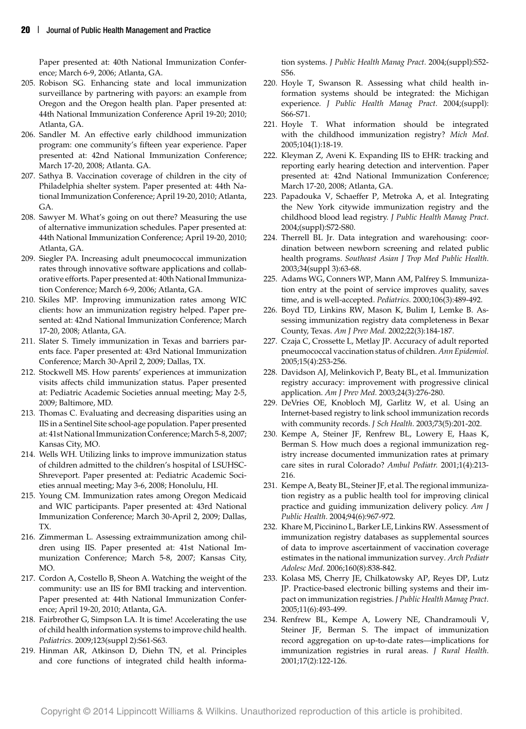Paper presented at: 40th National Immunization Conference; March 6-9, 2006; Atlanta, GA.

- 205. Robison SG. Enhancing state and local immunization surveillance by partnering with payors: an example from Oregon and the Oregon health plan. Paper presented at: 44th National Immunization Conference April 19-20; 2010; Atlanta, GA.
- 206. Sandler M. An effective early childhood immunization program: one community's fifteen year experience. Paper presented at: 42nd National Immunization Conference; March 17-20, 2008; Atlanta. GA.
- 207. Sathya B. Vaccination coverage of children in the city of Philadelphia shelter system. Paper presented at: 44th National Immunization Conference; April 19-20, 2010; Atlanta, GA.
- 208. Sawyer M. What's going on out there? Measuring the use of alternative immunization schedules. Paper presented at: 44th National Immunization Conference; April 19-20, 2010; Atlanta, GA.
- 209. Siegler PA. Increasing adult pneumococcal immunization rates through innovative software applications and collaborative efforts. Paper presented at: 40th National Immunization Conference; March 6-9, 2006; Atlanta, GA.
- 210. Skiles MP. Improving immunization rates among WIC clients: how an immunization registry helped. Paper presented at: 42nd National Immunization Conference; March 17-20, 2008; Atlanta, GA.
- 211. Slater S. Timely immunization in Texas and barriers parents face. Paper presented at: 43rd National Immunization Conference; March 30-April 2, 2009; Dallas, TX.
- 212. Stockwell MS. How parents' experiences at immunization visits affects child immunization status. Paper presented at: Pediatric Academic Societies annual meeting; May 2-5, 2009; Baltimore, MD.
- 213. Thomas C. Evaluating and decreasing disparities using an IIS in a Sentinel Site school-age population. Paper presented at: 41st National Immunization Conference; March 5-8, 2007; Kansas City, MO.
- 214. Wells WH. Utilizing links to improve immunization status of children admitted to the children's hospital of LSUHSC-Shreveport. Paper presented at: Pediatric Academic Societies annual meeting; May 3-6, 2008; Honolulu, HI.
- 215. Young CM. Immunization rates among Oregon Medicaid and WIC participants. Paper presented at: 43rd National Immunization Conference; March 30-April 2, 2009; Dallas, TX.
- 216. Zimmerman L. Assessing extraimmunization among children using IIS. Paper presented at: 41st National Immunization Conference; March 5-8, 2007; Kansas City, MO.
- 217. Cordon A, Costello B, Sheon A. Watching the weight of the community: use an IIS for BMI tracking and intervention. Paper presented at: 44th National Immunization Conference; April 19-20, 2010; Atlanta, GA.
- 218. Fairbrother G, Simpson LA. It is time! Accelerating the use of child health information systems to improve child health. *Pediatrics*. 2009;123(suppl 2):S61-S63.
- 219. Hinman AR, Atkinson D, Diehn TN, et al. Principles and core functions of integrated child health informa-

tion systems. *J Public Health Manag Pract.* 2004;(suppl):S52- S56.

- 220. Hoyle T, Swanson R. Assessing what child health information systems should be integrated: the Michigan experience. *J Public Health Manag Pract.* 2004;(suppl): S66-S71.
- 221. Hoyle T. What information should be integrated with the childhood immunization registry? *Mich Med*. 2005;104(1):18-19.
- 222. Kleyman Z, Aveni K. Expanding IIS to EHR: tracking and reporting early hearing detection and intervention. Paper presented at: 42nd National Immunization Conference; March 17-20, 2008; Atlanta, GA.
- 223. Papadouka V, Schaeffer P, Metroka A, et al. Integrating the New York citywide immunization registry and the childhood blood lead registry. *J Public Health Manag Pract.* 2004;(suppl):S72-S80.
- 224. Therrell BL Jr. Data integration and warehousing: coordination between newborn screening and related public health programs. *Southeast Asian J Trop Med Public Health*. 2003;34(suppl 3):63-68.
- 225. Adams WG, Conners WP, Mann AM, Palfrey S. Immunization entry at the point of service improves quality, saves time, and is well-accepted. *Pediatrics*. 2000;106(3):489-492.
- 226. Boyd TD, Linkins RW, Mason K, Bulim I, Lemke B. Assessing immunization registry data completeness in Bexar County, Texas. *Am J Prev Med.* 2002;22(3):184-187.
- 227. Czaja C, Crossette L, Metlay JP. Accuracy of adult reported pneumococcal vaccination status of children. *Ann Epidemiol.* 2005;15(4):253-256.
- 228. Davidson AJ, Melinkovich P, Beaty BL, et al. Immunization registry accuracy: improvement with progressive clinical application. *Am J Prev Med.* 2003;24(3):276-280.
- 229. DeVries OE, Knobloch MJ, Garlitz W, et al. Using an Internet-based registry to link school immunization records with community records. *J Sch Health*. 2003;73(5):201-202.
- 230. Kempe A, Steiner JF, Renfrew BL, Lowery E, Haas K, Berman S. How much does a regional immunization registry increase documented immunization rates at primary care sites in rural Colorado? *Ambul Pediatr.* 2001;1(4):213- 216.
- 231. Kempe A, Beaty BL, Steiner JF, et al. The regional immunization registry as a public health tool for improving clinical practice and guiding immunization delivery policy. *Am J Public Health*. 2004;94(6):967-972.
- 232. Khare M, Piccinino L, Barker LE, Linkins RW. Assessment of immunization registry databases as supplemental sources of data to improve ascertainment of vaccination coverage estimates in the national immunization survey. *Arch Pediatr Adolesc Med.* 2006;160(8):838-842.
- 233. Kolasa MS, Cherry JE, Chilkatowsky AP, Reyes DP, Lutz JP. Practice-based electronic billing systems and their impact on immunization registries. *J Public Health Manag Pract.* 2005;11(6):493-499.
- 234. Renfrew BL, Kempe A, Lowery NE, Chandramouli V, Steiner JF, Berman S. The impact of immunization record aggregation on up-to-date rates—implications for immunization registries in rural areas. *J Rural Health*. 2001;17(2):122-126.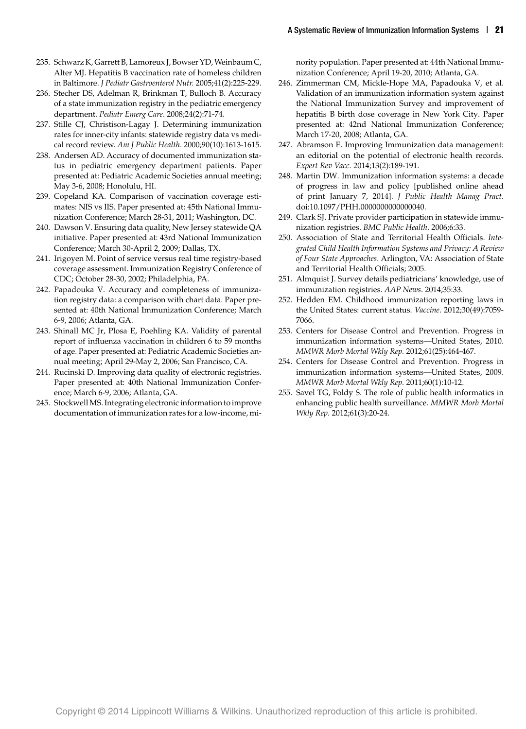- 235. Schwarz K, Garrett B, Lamoreux J, Bowser YD,Weinbaum C, Alter MJ. Hepatitis B vaccination rate of homeless children in Baltimore. *J Pediatr Gastroenterol Nutr.* 2005;41(2):225-229.
- 236. Stecher DS, Adelman R, Brinkman T, Bulloch B. Accuracy of a state immunization registry in the pediatric emergency department. *Pediatr Emerg Care*. 2008;24(2):71-74.
- 237. Stille CJ, Christison-Lagay J. Determining immunization rates for inner-city infants: statewide registry data vs medical record review. *Am J Public Health*. 2000;90(10):1613-1615.
- 238. Andersen AD. Accuracy of documented immunization status in pediatric emergency department patients. Paper presented at: Pediatric Academic Societies annual meeting; May 3-6, 2008; Honolulu, HI.
- 239. Copeland KA. Comparison of vaccination coverage estimates: NIS vs IIS. Paper presented at: 45th National Immunization Conference; March 28-31, 2011; Washington, DC.
- 240. Dawson V. Ensuring data quality, New Jersey statewide QA initiative. Paper presented at: 43rd National Immunization Conference; March 30-April 2, 2009; Dallas, TX.
- 241. Irigoyen M. Point of service versus real time registry-based coverage assessment. Immunization Registry Conference of CDC; October 28-30, 2002; Philadelphia, PA.
- 242. Papadouka V. Accuracy and completeness of immunization registry data: a comparison with chart data. Paper presented at: 40th National Immunization Conference; March 6-9, 2006; Atlanta, GA.
- 243. Shinall MC Jr, Plosa E, Poehling KA. Validity of parental report of influenza vaccination in children 6 to 59 months of age. Paper presented at: Pediatric Academic Societies annual meeting; April 29-May 2, 2006; San Francisco, CA.
- 244. Rucinski D. Improving data quality of electronic registries. Paper presented at: 40th National Immunization Conference; March 6-9, 2006; Atlanta, GA.
- 245. Stockwell MS. Integrating electronic information to improve documentation of immunization rates for a low-income, mi-

nority population. Paper presented at: 44th National Immunization Conference; April 19-20, 2010; Atlanta, GA.

- 246. Zimmerman CM, Mickle-Hope MA, Papadouka V, et al. Validation of an immunization information system against the National Immunization Survey and improvement of hepatitis B birth dose coverage in New York City. Paper presented at: 42nd National Immunization Conference; March 17-20, 2008; Atlanta, GA.
- 247. Abramson E. Improving Immunization data management: an editorial on the potential of electronic health records. *Expert Rev Vacc.* 2014;13(2):189-191.
- 248. Martin DW. Immunization information systems: a decade of progress in law and policy [published online ahead of print January 7, 2014]. *J Public Health Manag Pract*. doi:10.1097/PHH.0000000000000040.
- 249. Clark SJ. Private provider participation in statewide immunization registries. *BMC Public Health*. 2006;6:33.
- 250. Association of State and Territorial Health Officials. *Integrated Child Health Information Systems and Privacy: A Review of Four State Approaches*. Arlington, VA: Association of State and Territorial Health Officials; 2005.
- 251. Almquist J. Survey details pediatricians' knowledge, use of immunization registries. *AAP News*. 2014;35:33.
- 252. Hedden EM. Childhood immunization reporting laws in the United States: current status. *Vaccine*. 2012;30(49):7059- 7066.
- 253. Centers for Disease Control and Prevention. Progress in immunization information systems—United States, 2010. *MMWR Morb Mortal Wkly Rep.* 2012;61(25):464-467.
- 254. Centers for Disease Control and Prevention. Progress in immunization information systems—United States, 2009. *MMWR Morb Mortal Wkly Rep.* 2011;60(1):10-12.
- 255. Savel TG, Foldy S. The role of public health informatics in enhancing public health surveillance. *MMWR Morb Mortal Wkly Rep.* 2012;61(3):20-24.